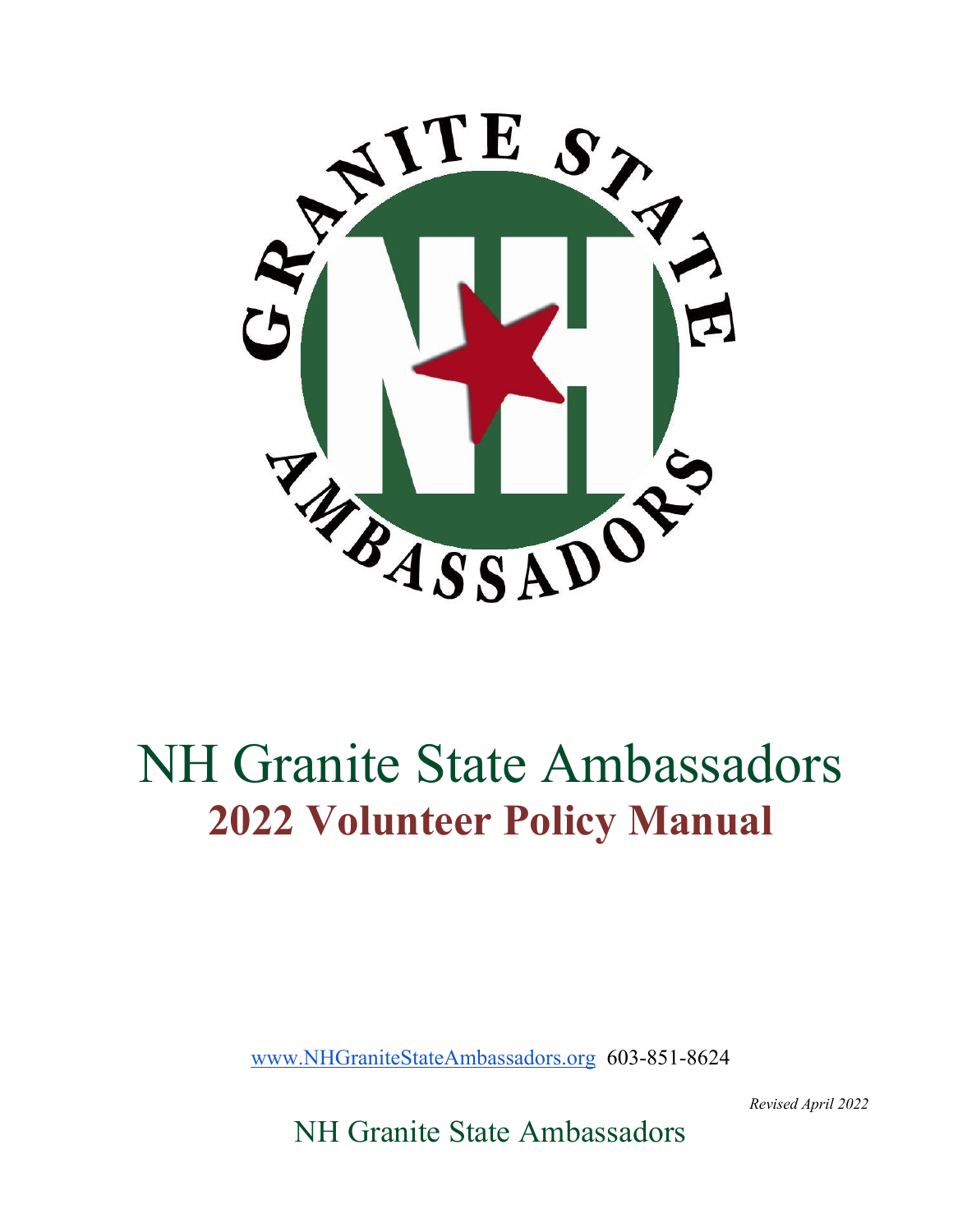

# NH Granite State Ambassadors **2022 Volunteer Policy Manual**

www.NHGraniteStateAmbassadors.org 603-851-8624

*Revised April 2022*

NH Granite State Ambassadors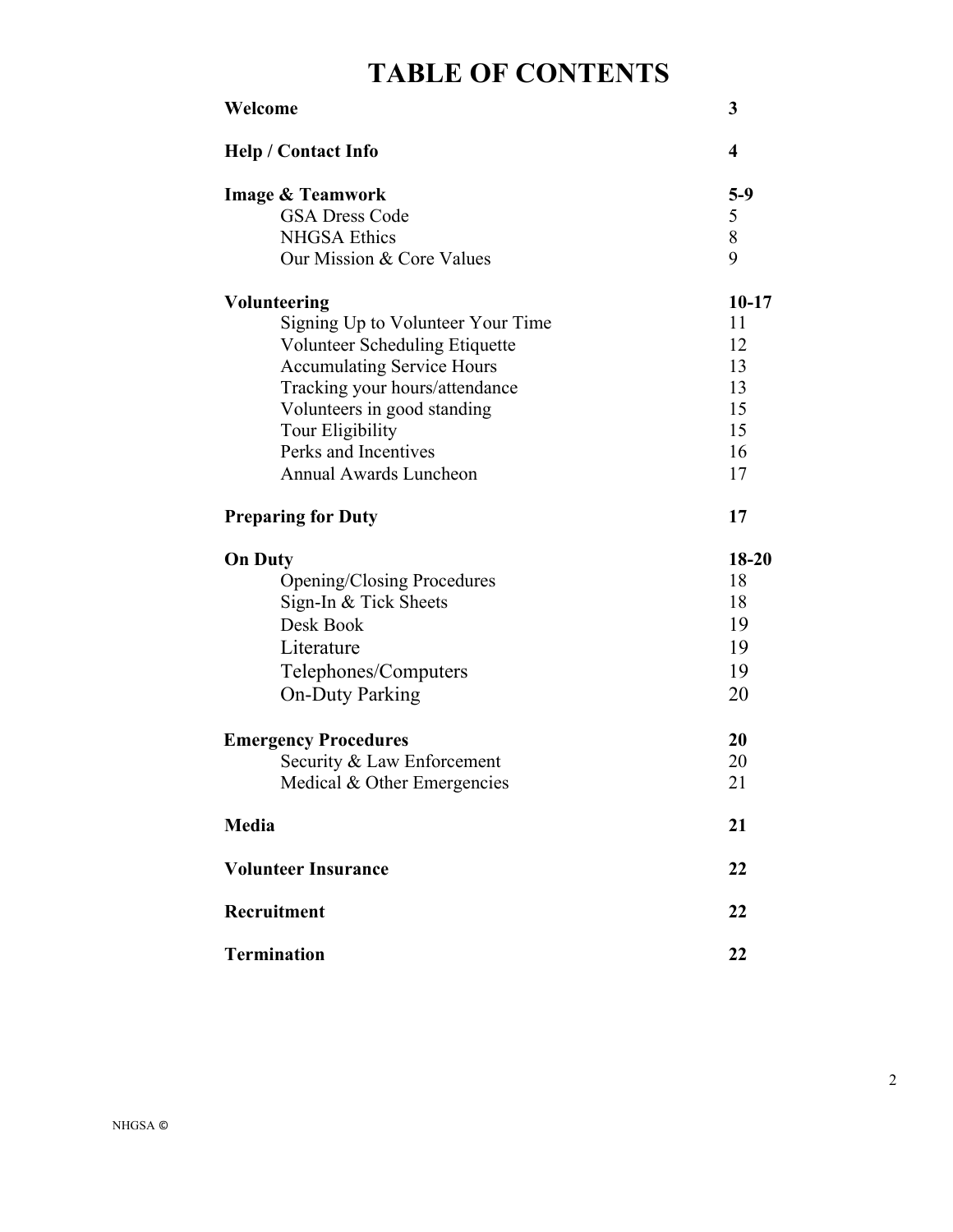### **TABLE OF CONTENTS**

| Welcome                           | 3                       |
|-----------------------------------|-------------------------|
| <b>Help / Contact Info</b>        | $\overline{\mathbf{4}}$ |
| <b>Image &amp; Teamwork</b>       | $5-9$                   |
| <b>GSA Dress Code</b>             | 5                       |
| <b>NHGSA Ethics</b>               | $\, 8$                  |
| Our Mission & Core Values         | 9                       |
| <b>Volunteering</b>               | $10 - 17$               |
| Signing Up to Volunteer Your Time | 11                      |
| Volunteer Scheduling Etiquette    | 12                      |
| <b>Accumulating Service Hours</b> | 13                      |
| Tracking your hours/attendance    | 13                      |
| Volunteers in good standing       | 15                      |
| Tour Eligibility                  | 15                      |
| Perks and Incentives              | 16                      |
| <b>Annual Awards Luncheon</b>     | 17                      |
| <b>Preparing for Duty</b>         | 17                      |
| <b>On Duty</b>                    | 18-20                   |
| <b>Opening/Closing Procedures</b> | 18                      |
| Sign-In & Tick Sheets             | 18                      |
| Desk Book                         | 19                      |
| Literature                        | 19                      |
| Telephones/Computers              | 19                      |
| <b>On-Duty Parking</b>            | 20                      |
| <b>Emergency Procedures</b>       | 20                      |
| Security & Law Enforcement        | 20                      |
| Medical & Other Emergencies       | 21                      |
|                                   |                         |
| Media                             | 21                      |
| <b>Volunteer Insurance</b>        | 22                      |
| Recruitment                       | 22                      |
| <b>Termination</b>                | 22                      |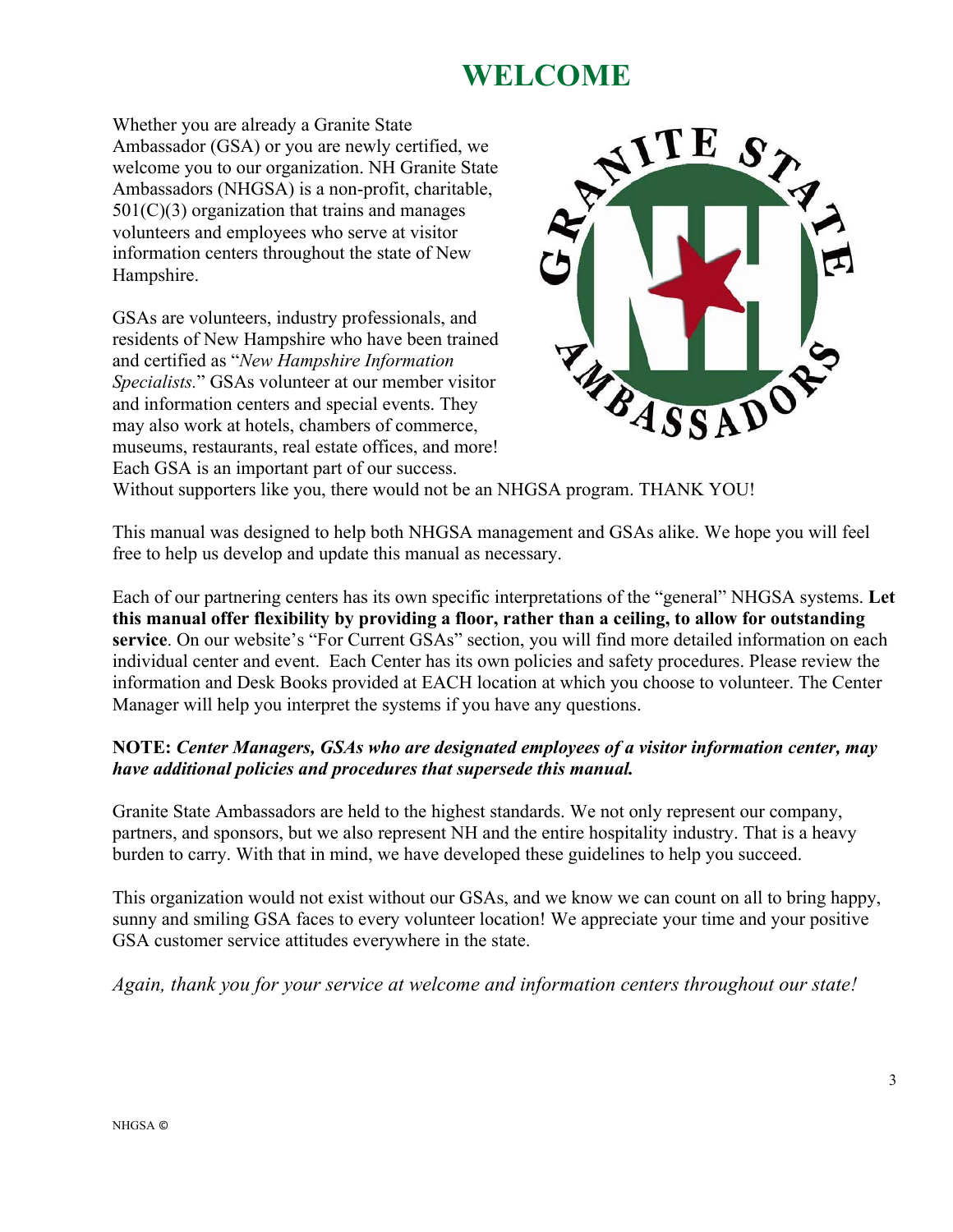### **WELCOME**

Whether you are already a Granite State Ambassador (GSA) or you are newly certified, we welcome you to our organization. NH Granite State Ambassadors (NHGSA) is a non-profit, charitable,  $501(C)(3)$  organization that trains and manages volunteers and employees who serve at visitor information centers throughout the state of New Hampshire.

GSAs are volunteers, industry professionals, and residents of New Hampshire who have been trained and certified as "*New Hampshire Information Specialists.*" GSAs volunteer at our member visitor and information centers and special events. They may also work at hotels, chambers of commerce, museums, restaurants, real estate offices, and more! Each GSA is an important part of our success.



Without supporters like you, there would not be an NHGSA program. THANK YOU!

This manual was designed to help both NHGSA management and GSAs alike. We hope you will feel free to help us develop and update this manual as necessary.

Each of our partnering centers has its own specific interpretations of the "general" NHGSA systems. **Let this manual offer flexibility by providing a floor, rather than a ceiling, to allow for outstanding service**. On our website's "For Current GSAs" section, you will find more detailed information on each individual center and event. Each Center has its own policies and safety procedures. Please review the information and Desk Books provided at EACH location at which you choose to volunteer. The Center Manager will help you interpret the systems if you have any questions.

### **NOTE:** *Center Managers, GSAs who are designated employees of a visitor information center, may have additional policies and procedures that supersede this manual.*

Granite State Ambassadors are held to the highest standards. We not only represent our company, partners, and sponsors, but we also represent NH and the entire hospitality industry. That is a heavy burden to carry. With that in mind, we have developed these guidelines to help you succeed.

This organization would not exist without our GSAs, and we know we can count on all to bring happy, sunny and smiling GSA faces to every volunteer location! We appreciate your time and your positive GSA customer service attitudes everywhere in the state.

*Again, thank you for your service at welcome and information centers throughout our state!*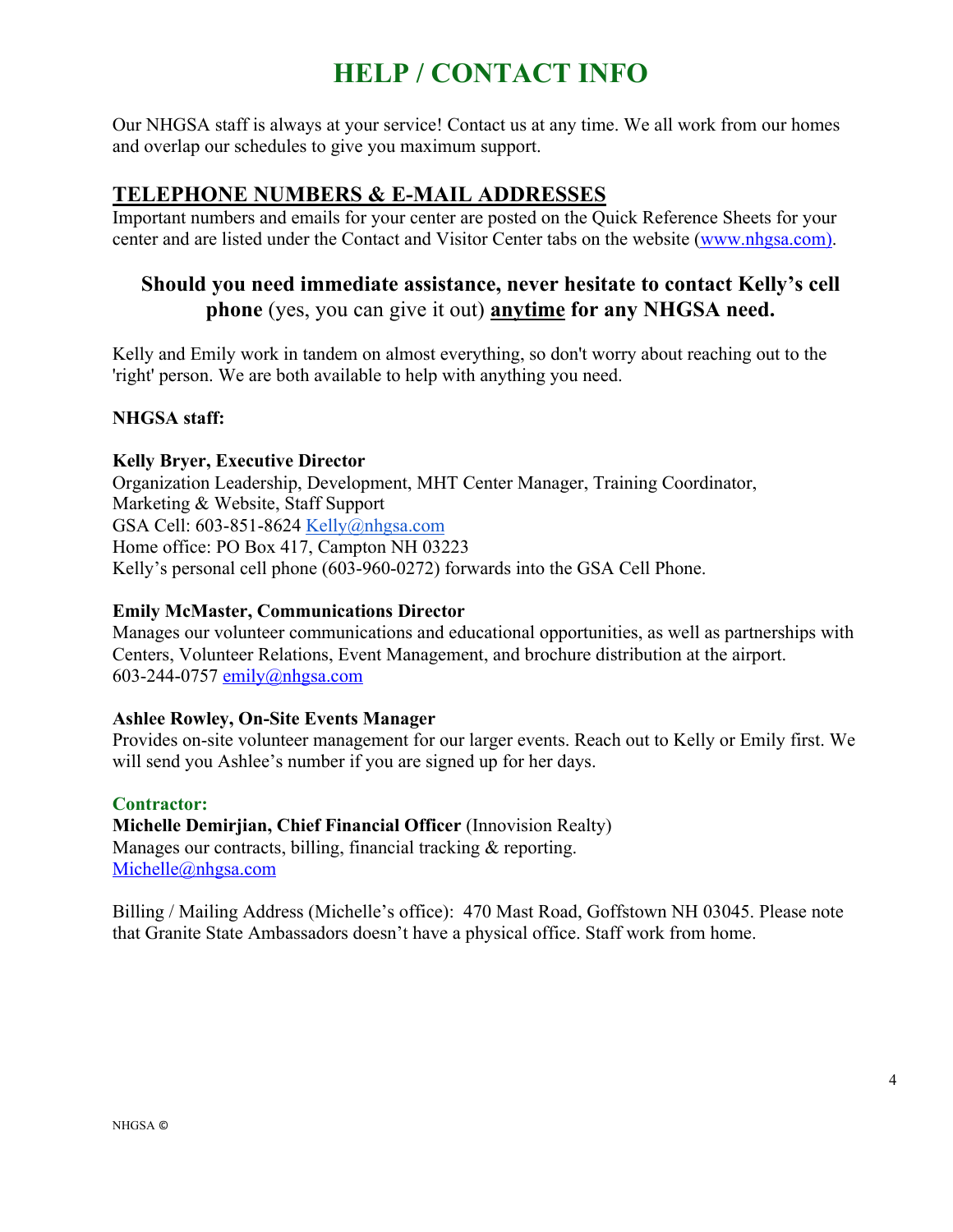### **HELP / CONTACT INFO**

Our NHGSA staff is always at your service! Contact us at any time. We all work from our homes and overlap our schedules to give you maximum support.

### **TELEPHONE NUMBERS & E-MAIL ADDRESSES**

Important numbers and emails for your center are posted on the Quick Reference Sheets for your center and are listed under the Contact and Visitor Center tabs on the website (www.nhgsa.com).

### **Should you need immediate assistance, never hesitate to contact Kelly's cell phone** (yes, you can give it out) **anytime for any NHGSA need.**

Kelly and Emily work in tandem on almost everything, so don't worry about reaching out to the 'right' person. We are both available to help with anything you need.

### **NHGSA staff:**

#### **Kelly Bryer, Executive Director**

Organization Leadership, Development, MHT Center Manager, Training Coordinator, Marketing & Website, Staff Support GSA Cell: 603-851-8624 Kelly@nhgsa.com Home office: PO Box 417, Campton NH 03223 Kelly's personal cell phone (603-960-0272) forwards into the GSA Cell Phone.

#### **Emily McMaster, Communications Director**

Manages our volunteer communications and educational opportunities, as well as partnerships with Centers, Volunteer Relations, Event Management, and brochure distribution at the airport. 603-244-0757 emily@nhgsa.com

#### **Ashlee Rowley, On-Site Events Manager**

Provides on-site volunteer management for our larger events. Reach out to Kelly or Emily first. We will send you Ashlee's number if you are signed up for her days.

**Contractor: Michelle Demirjian, Chief Financial Officer** (Innovision Realty) Manages our contracts, billing, financial tracking & reporting. Michelle@nhgsa.com

Billing / Mailing Address (Michelle's office): 470 Mast Road, Goffstown NH 03045. Please note that Granite State Ambassadors doesn't have a physical office. Staff work from home.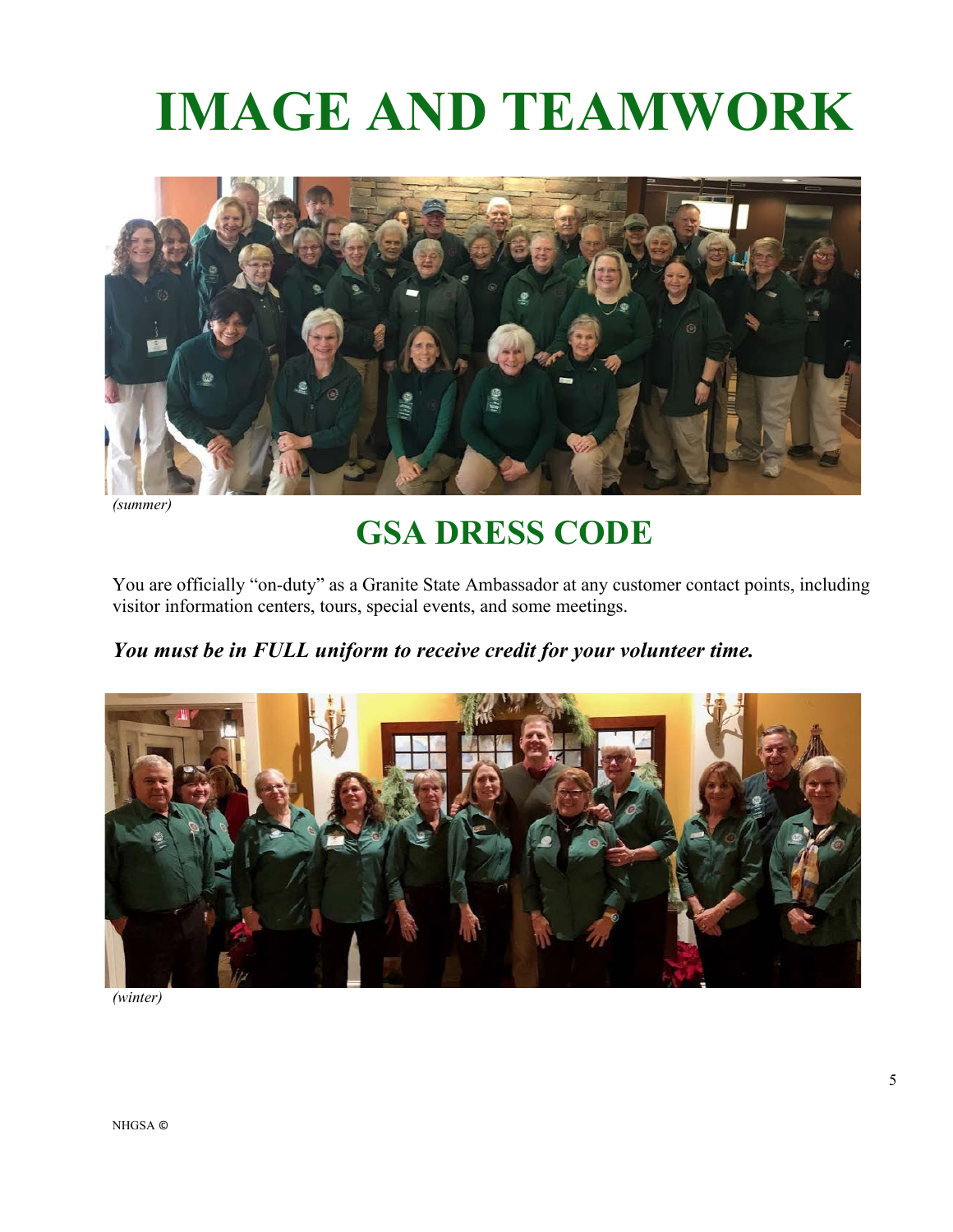# **IMAGE AND TEAMWORK**



*(summer)*

# **GSA DRESS CODE**

You are officially "on-duty" as a Granite State Ambassador at any customer contact points, including visitor information centers, tours, special events, and some meetings.

### *You must be in FULL uniform to receive credit for your volunteer time.*



*(winter)*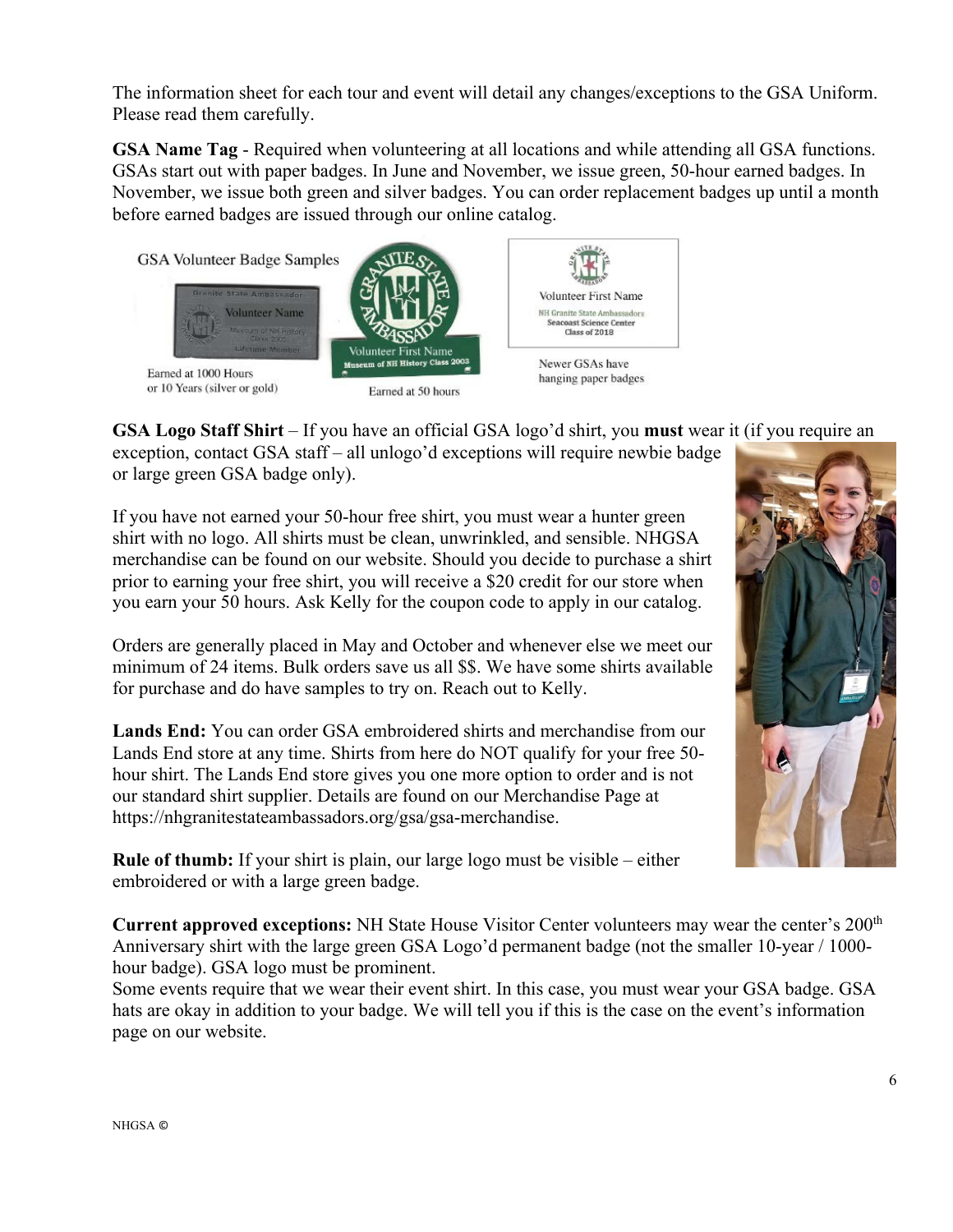The information sheet for each tour and event will detail any changes/exceptions to the GSA Uniform. Please read them carefully.

**GSA Name Tag** - Required when volunteering at all locations and while attending all GSA functions. GSAs start out with paper badges. In June and November, we issue green, 50-hour earned badges. In November, we issue both green and silver badges. You can order replacement badges up until a month before earned badges are issued through our online catalog.



**GSA Logo Staff Shirt** – If you have an official GSA logo'd shirt, you **must** wear it (if you require an

exception, contact GSA staff – all unlogo'd exceptions will require newbie badge or large green GSA badge only).

If you have not earned your 50-hour free shirt, you must wear a hunter green shirt with no logo. All shirts must be clean, unwrinkled, and sensible. NHGSA merchandise can be found on our website. Should you decide to purchase a shirt prior to earning your free shirt, you will receive a \$20 credit for our store when you earn your 50 hours. Ask Kelly for the coupon code to apply in our catalog.

Orders are generally placed in May and October and whenever else we meet our minimum of 24 items. Bulk orders save us all \$\$. We have some shirts available for purchase and do have samples to try on. Reach out to Kelly.

**Lands End:** You can order GSA embroidered shirts and merchandise from our Lands End store at any time. Shirts from here do NOT qualify for your free 50 hour shirt. The Lands End store gives you one more option to order and is not our standard shirt supplier. Details are found on our Merchandise Page at https://nhgranitestateambassadors.org/gsa/gsa-merchandise.

**Rule of thumb:** If your shirt is plain, our large logo must be visible – either embroidered or with a large green badge.

**Current approved exceptions:** NH State House Visitor Center volunteers may wear the center's 200th Anniversary shirt with the large green GSA Logo'd permanent badge (not the smaller 10-year / 1000 hour badge). GSA logo must be prominent.

Some events require that we wear their event shirt. In this case, you must wear your GSA badge. GSA hats are okay in addition to your badge. We will tell you if this is the case on the event's information page on our website.

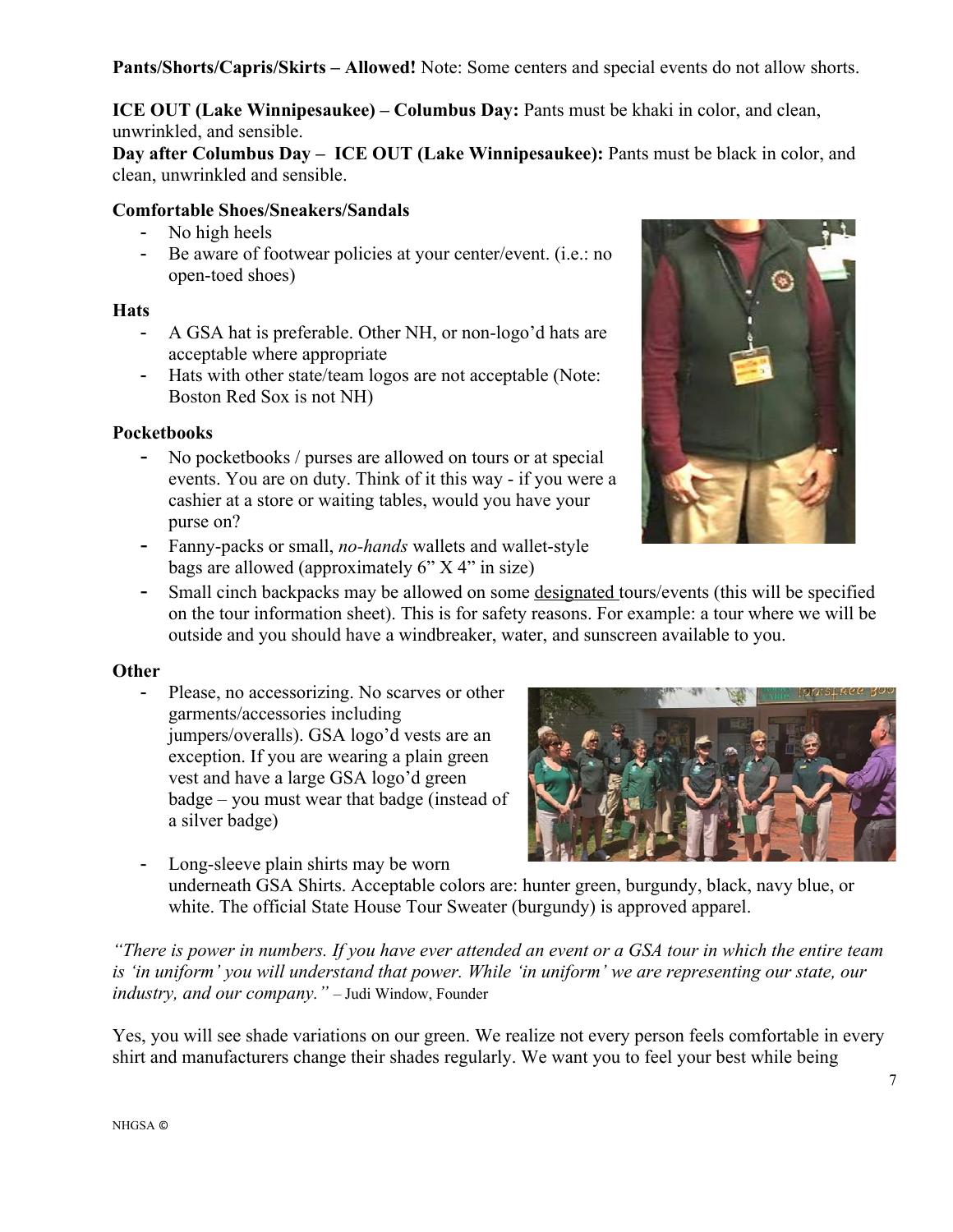**Pants/Shorts/Capris/Skirts – Allowed!** Note: Some centers and special events do not allow shorts.

**ICE OUT (Lake Winnipesaukee) – Columbus Day:** Pants must be khaki in color, and clean, unwrinkled, and sensible.

**Day after Columbus Day – ICE OUT (Lake Winnipesaukee):** Pants must be black in color, and clean, unwrinkled and sensible.

### **Comfortable Shoes/Sneakers/Sandals**

- No high heels
- Be aware of footwear policies at your center/event. (i.e.: no open-toed shoes)

#### **Hats**

- A GSA hat is preferable. Other NH, or non-logo'd hats are acceptable where appropriate
- Hats with other state/team logos are not acceptable (Note: Boston Red Sox is not NH)

### **Pocketbooks**

- No pocketbooks / purses are allowed on tours or at special events. You are on duty. Think of it this way - if you were a cashier at a store or waiting tables, would you have your purse on?
- Fanny-packs or small, *no-hands* wallets and wallet-style bags are allowed (approximately 6" X 4" in size)



- Small cinch backpacks may be allowed on some designated tours/events (this will be specified on the tour information sheet). This is for safety reasons. For example: a tour where we will be outside and you should have a windbreaker, water, and sunscreen available to you.

#### **Other**

- Please, no accessorizing. No scarves or other garments/accessories including jumpers/overalls). GSA logo'd vests are an exception. If you are wearing a plain green vest and have a large GSA logo'd green badge – you must wear that badge (instead of a silver badge)
- 
- Long-sleeve plain shirts may be worn underneath GSA Shirts. Acceptable colors are: hunter green, burgundy, black, navy blue, or white. The official State House Tour Sweater (burgundy) is approved apparel.

*"There is power in numbers. If you have ever attended an event or a GSA tour in which the entire team is 'in uniform' you will understand that power. While 'in uniform' we are representing our state, our industry, and our company."* – Judi Window, Founder

Yes, you will see shade variations on our green. We realize not every person feels comfortable in every shirt and manufacturers change their shades regularly. We want you to feel your best while being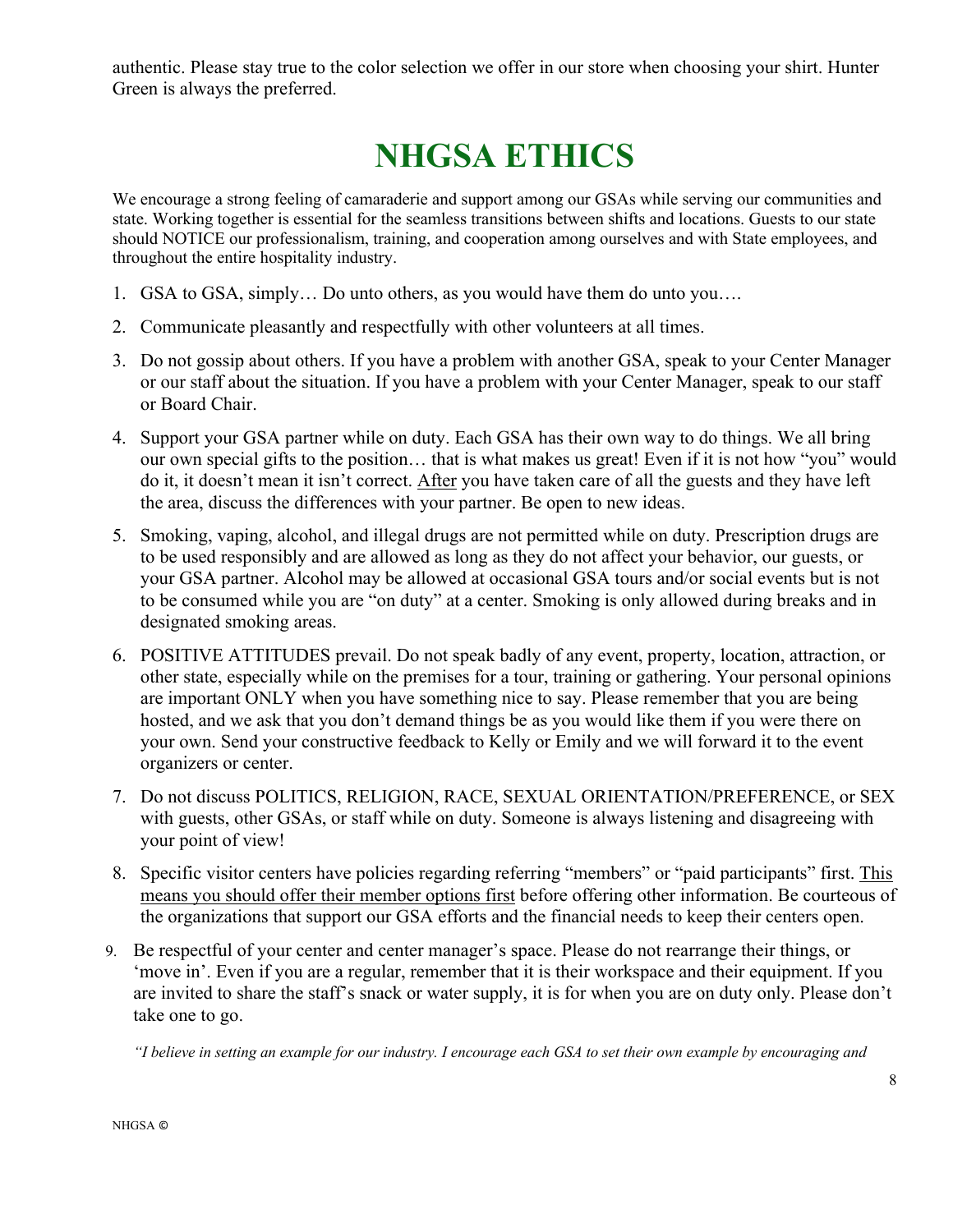authentic. Please stay true to the color selection we offer in our store when choosing your shirt. Hunter Green is always the preferred.

# **NHGSA ETHICS**

We encourage a strong feeling of camaraderie and support among our GSAs while serving our communities and state. Working together is essential for the seamless transitions between shifts and locations. Guests to our state should NOTICE our professionalism, training, and cooperation among ourselves and with State employees, and throughout the entire hospitality industry.

- 1. GSA to GSA, simply… Do unto others, as you would have them do unto you….
- 2. Communicate pleasantly and respectfully with other volunteers at all times.
- 3. Do not gossip about others. If you have a problem with another GSA, speak to your Center Manager or our staff about the situation. If you have a problem with your Center Manager, speak to our staff or Board Chair.
- 4. Support your GSA partner while on duty. Each GSA has their own way to do things. We all bring our own special gifts to the position… that is what makes us great! Even if it is not how "you" would do it, it doesn't mean it isn't correct. After you have taken care of all the guests and they have left the area, discuss the differences with your partner. Be open to new ideas.
- 5. Smoking, vaping, alcohol, and illegal drugs are not permitted while on duty. Prescription drugs are to be used responsibly and are allowed as long as they do not affect your behavior, our guests, or your GSA partner. Alcohol may be allowed at occasional GSA tours and/or social events but is not to be consumed while you are "on duty" at a center. Smoking is only allowed during breaks and in designated smoking areas.
- 6. POSITIVE ATTITUDES prevail. Do not speak badly of any event, property, location, attraction, or other state, especially while on the premises for a tour, training or gathering. Your personal opinions are important ONLY when you have something nice to say. Please remember that you are being hosted, and we ask that you don't demand things be as you would like them if you were there on your own. Send your constructive feedback to Kelly or Emily and we will forward it to the event organizers or center.
- 7. Do not discuss POLITICS, RELIGION, RACE, SEXUAL ORIENTATION/PREFERENCE, or SEX with guests, other GSAs, or staff while on duty. Someone is always listening and disagreeing with your point of view!
- 8. Specific visitor centers have policies regarding referring "members" or "paid participants" first. This means you should offer their member options first before offering other information. Be courteous of the organizations that support our GSA efforts and the financial needs to keep their centers open.
- 9. Be respectful of your center and center manager's space. Please do not rearrange their things, or 'move in'. Even if you are a regular, remember that it is their workspace and their equipment. If you are invited to share the staff's snack or water supply, it is for when you are on duty only. Please don't take one to go.

*"I believe in setting an example for our industry. I encourage each GSA to set their own example by encouraging and*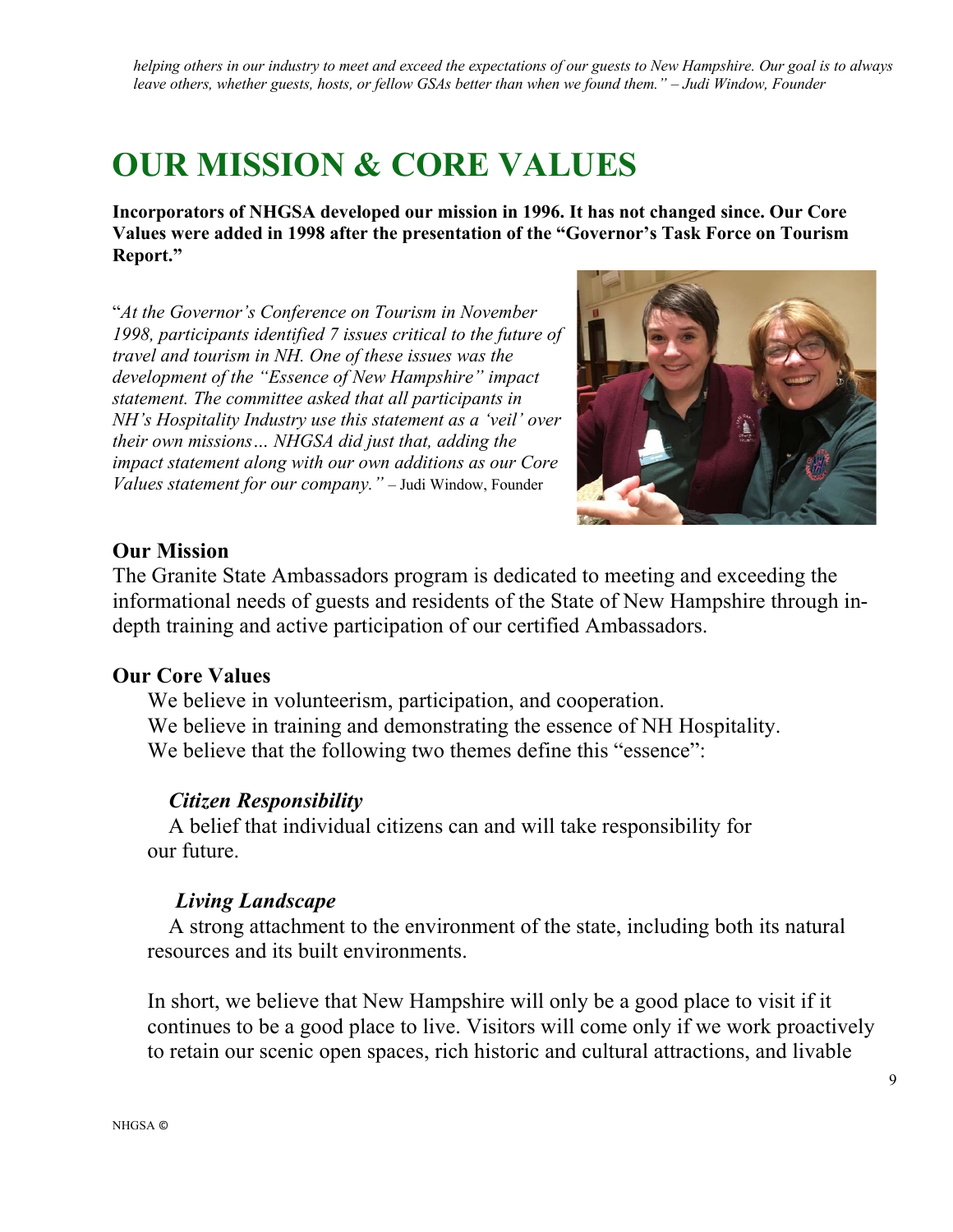*helping others in our industry to meet and exceed the expectations of our guests to New Hampshire. Our goal is to always leave others, whether guests, hosts, or fellow GSAs better than when we found them." – Judi Window, Founder*

## **OUR MISSION & CORE VALUES**

**Incorporators of NHGSA developed our mission in 1996. It has not changed since. Our Core Values were added in 1998 after the presentation of the "Governor's Task Force on Tourism Report."**

"*At the Governor's Conference on Tourism in November 1998, participants identified 7 issues critical to the future of travel and tourism in NH. One of these issues was the development of the "Essence of New Hampshire" impact statement. The committee asked that all participants in NH's Hospitality Industry use this statement as a 'veil' over their own missions… NHGSA did just that, adding the impact statement along with our own additions as our Core Values statement for our company."* – Judi Window, Founder



### **Our Mission**

The Granite State Ambassadors program is dedicated to meeting and exceeding the informational needs of guests and residents of the State of New Hampshire through indepth training and active participation of our certified Ambassadors.

### **Our Core Values**

We believe in volunteerism, participation, and cooperation. We believe in training and demonstrating the essence of NH Hospitality. We believe that the following two themes define this "essence":

### *Citizen Responsibility*

A belief that individual citizens can and will take responsibility for our future.

### *Living Landscape*

A strong attachment to the environment of the state, including both its natural resources and its built environments.

In short, we believe that New Hampshire will only be a good place to visit if it continues to be a good place to live. Visitors will come only if we work proactively to retain our scenic open spaces, rich historic and cultural attractions, and livable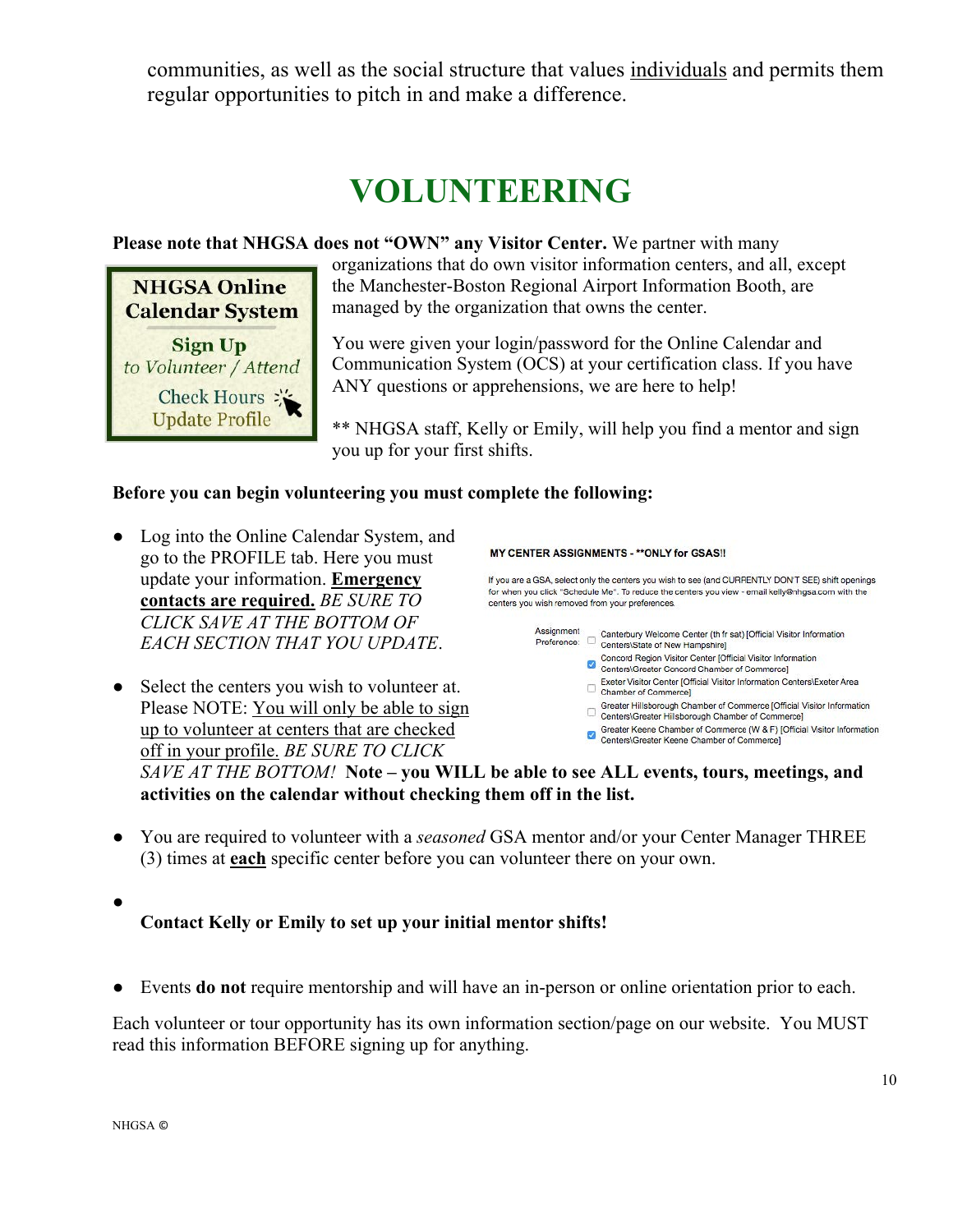communities, as well as the social structure that values individuals and permits them regular opportunities to pitch in and make a difference.

# **VOLUNTEERING**

### **Please note that NHGSA does not "OWN" any Visitor Center.** We partner with many

**NHGSA Online Calendar System** Sign Up to Volunteer / Attend **Check Hours: Update Profile** 

organizations that do own visitor information centers, and all, except the Manchester-Boston Regional Airport Information Booth, are managed by the organization that owns the center.

You were given your login/password for the Online Calendar and Communication System (OCS) at your certification class. If you have ANY questions or apprehensions, we are here to help!

\*\* NHGSA staff, Kelly or Emily, will help you find a mentor and sign you up for your first shifts.

### **Before you can begin volunteering you must complete the following:**

- Log into the Online Calendar System, and go to the PROFILE tab. Here you must update your information. **Emergency contacts are required.** *BE SURE TO CLICK SAVE AT THE BOTTOM OF EACH SECTION THAT YOU UPDATE*.
- Select the centers you wish to volunteer at. Chamber of Commerce] Please NOTE: You will only be able to sign Greater Hillsborough Chamber of Commerce [Official Visitor Information<br>
Centers\Greater Hillsborough Chamber of Commerce] up to volunteer at centers that are checked Greater Keene Chamber of Commerce (W & F) [Official Visitor Information<br>Centers\Greater Keene Chamber of Commerce] off in your profile. *BE SURE TO CLICK SAVE AT THE BOTTOM!* **Note – you WILL be able to see ALL events, tours, meetings, and activities on the calendar without checking them off in the list.**
- You are required to volunteer with a *seasoned* GSA mentor and/or your Center Manager THREE (3) times at **each** specific center before you can volunteer there on your own.
- **Contact Kelly or Emily to set up your initial mentor shifts!**
- Events **do not** require mentorship and will have an in-person or online orientation prior to each.

Each volunteer or tour opportunity has its own information section/page on our website. You MUST read this information BEFORE signing up for anything.

#### MY CENTER ASSIGNMENTS - \*\* ONLY for GSAS!!

If you are a GSA, select only the centers you wish to see (and CURRENTLY DON'T SEE) shift openings for when you click "Schedule Me". To reduce the centers you view - email kelly@nhgsa.com with the centers you wish removed from your preferences.

- Assignment Assignment Canterbury Welcome Center (th fr sat) [Official Visitor Information<br>Preference: Centers\State of New Hampshire]
	- Concord Region Visitor Center [Official Visitor Information<br>Centers\Greater Concord Chamber of Commerce]
		- Exeter Visitor Center [Official Visitor Information Centers\Exeter Area
	-
	-
	-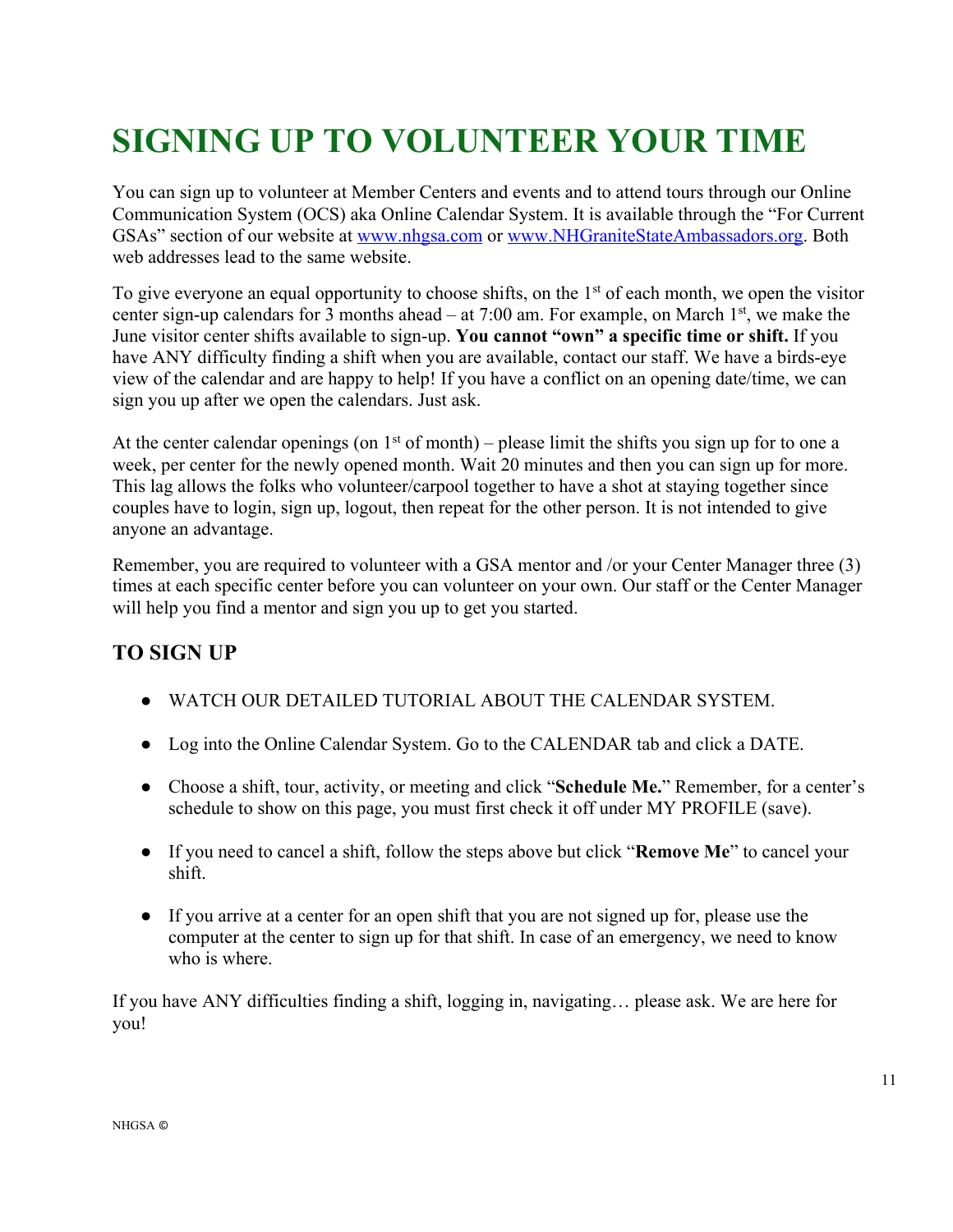# **SIGNING UP TO VOLUNTEER YOUR TIME**

You can sign up to volunteer at Member Centers and events and to attend tours through our Online Communication System (OCS) aka Online Calendar System. It is available through the "For Current GSAs" section of our website at www.nhgsa.com or www.NHGraniteStateAmbassadors.org. Both web addresses lead to the same website.

To give everyone an equal opportunity to choose shifts, on the  $1<sup>st</sup>$  of each month, we open the visitor center sign-up calendars for 3 months ahead – at 7:00 am. For example, on March  $1<sup>st</sup>$ , we make the June visitor center shifts available to sign-up. **You cannot "own" a specific time or shift.** If you have ANY difficulty finding a shift when you are available, contact our staff. We have a birds-eye view of the calendar and are happy to help! If you have a conflict on an opening date/time, we can sign you up after we open the calendars. Just ask.

At the center calendar openings (on  $1<sup>st</sup>$  of month) – please limit the shifts you sign up for to one a week, per center for the newly opened month. Wait 20 minutes and then you can sign up for more. This lag allows the folks who volunteer/carpool together to have a shot at staying together since couples have to login, sign up, logout, then repeat for the other person. It is not intended to give anyone an advantage.

Remember, you are required to volunteer with a GSA mentor and /or your Center Manager three (3) times at each specific center before you can volunteer on your own. Our staff or the Center Manager will help you find a mentor and sign you up to get you started.

### **TO SIGN UP**

- WATCH OUR DETAILED TUTORIAL ABOUT THE CALENDAR SYSTEM.
- Log into the Online Calendar System. Go to the CALENDAR tab and click a DATE.
- Choose a shift, tour, activity, or meeting and click "**Schedule Me.**" Remember, for a center's schedule to show on this page, you must first check it off under MY PROFILE (save).
- If you need to cancel a shift, follow the steps above but click "**Remove Me**" to cancel your shift.
- If you arrive at a center for an open shift that you are not signed up for, please use the computer at the center to sign up for that shift. In case of an emergency, we need to know who is where.

If you have ANY difficulties finding a shift, logging in, navigating… please ask. We are here for you!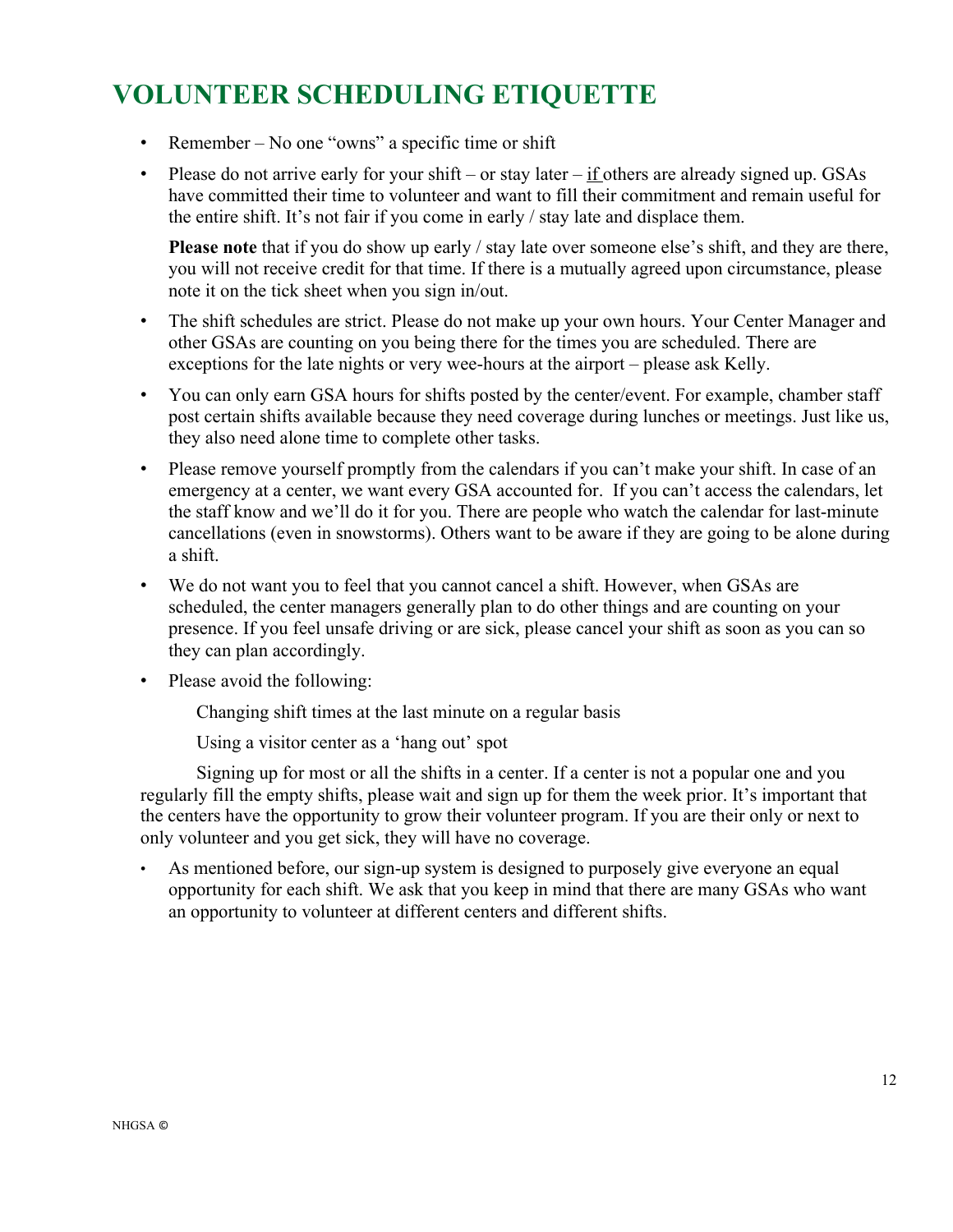### **VOLUNTEER SCHEDULING ETIQUETTE**

- Remember No one "owns" a specific time or shift
- Please do not arrive early for your shift or stay later  $-\underline{\text{if}}$  others are already signed up. GSAs have committed their time to volunteer and want to fill their commitment and remain useful for the entire shift. It's not fair if you come in early / stay late and displace them.

**Please note** that if you do show up early / stay late over someone else's shift, and they are there, you will not receive credit for that time. If there is a mutually agreed upon circumstance, please note it on the tick sheet when you sign in/out.

- The shift schedules are strict. Please do not make up your own hours. Your Center Manager and other GSAs are counting on you being there for the times you are scheduled. There are exceptions for the late nights or very wee-hours at the airport – please ask Kelly.
- You can only earn GSA hours for shifts posted by the center/event. For example, chamber staff post certain shifts available because they need coverage during lunches or meetings. Just like us, they also need alone time to complete other tasks.
- Please remove yourself promptly from the calendars if you can't make your shift. In case of an emergency at a center, we want every GSA accounted for. If you can't access the calendars, let the staff know and we'll do it for you. There are people who watch the calendar for last-minute cancellations (even in snowstorms). Others want to be aware if they are going to be alone during a shift.
- We do not want you to feel that you cannot cancel a shift. However, when GSAs are scheduled, the center managers generally plan to do other things and are counting on your presence. If you feel unsafe driving or are sick, please cancel your shift as soon as you can so they can plan accordingly.
- Please avoid the following:

Changing shift times at the last minute on a regular basis

Using a visitor center as a 'hang out' spot

Signing up for most or all the shifts in a center. If a center is not a popular one and you regularly fill the empty shifts, please wait and sign up for them the week prior. It's important that the centers have the opportunity to grow their volunteer program. If you are their only or next to only volunteer and you get sick, they will have no coverage.

As mentioned before, our sign-up system is designed to purposely give everyone an equal opportunity for each shift. We ask that you keep in mind that there are many GSAs who want an opportunity to volunteer at different centers and different shifts.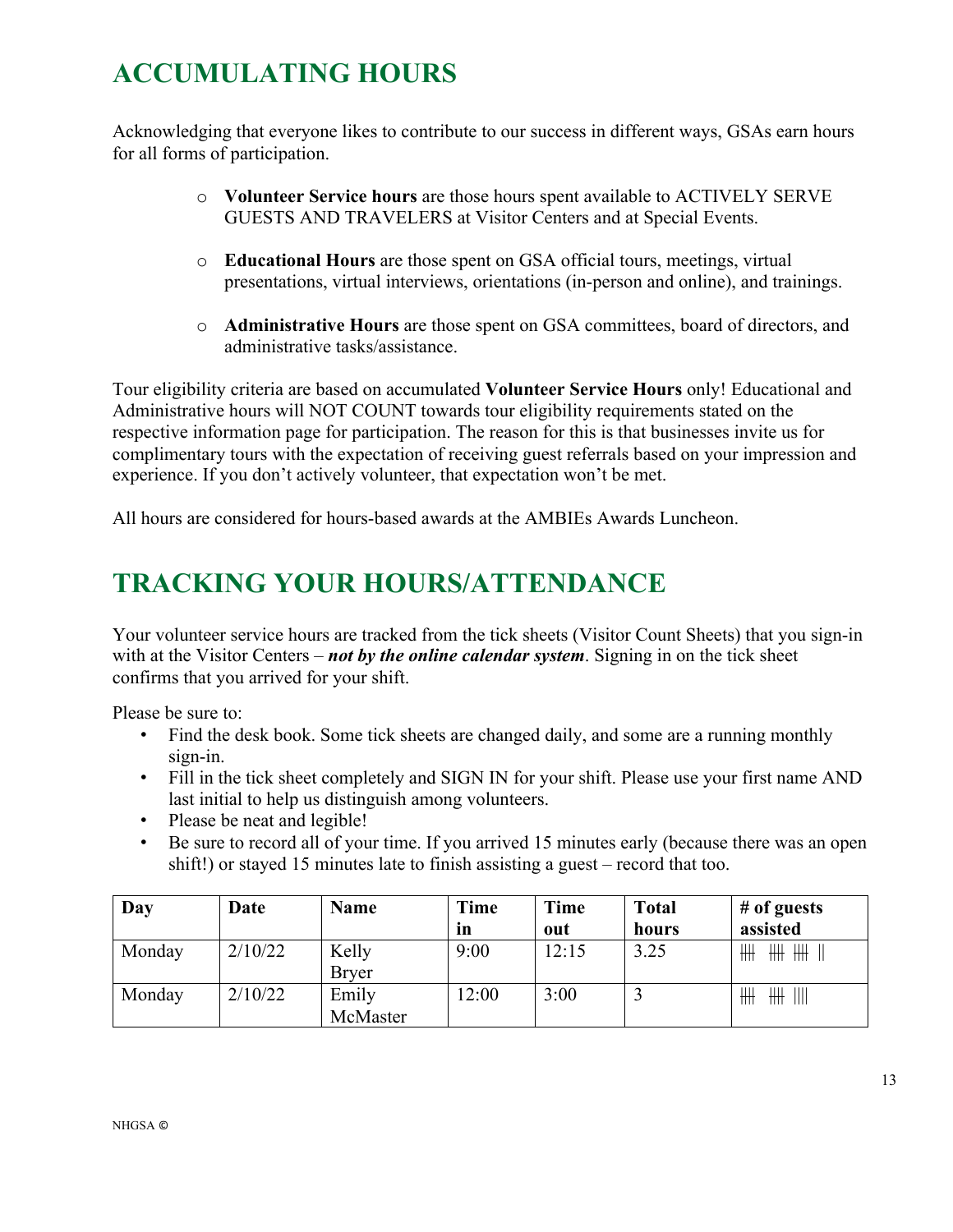## **ACCUMULATING HOURS**

Acknowledging that everyone likes to contribute to our success in different ways, GSAs earn hours for all forms of participation.

- o **Volunteer Service hours** are those hours spent available to ACTIVELY SERVE GUESTS AND TRAVELERS at Visitor Centers and at Special Events.
- o **Educational Hours** are those spent on GSA official tours, meetings, virtual presentations, virtual interviews, orientations (in-person and online), and trainings.
- o **Administrative Hours** are those spent on GSA committees, board of directors, and administrative tasks/assistance.

Tour eligibility criteria are based on accumulated **Volunteer Service Hours** only! Educational and Administrative hours will NOT COUNT towards tour eligibility requirements stated on the respective information page for participation. The reason for this is that businesses invite us for complimentary tours with the expectation of receiving guest referrals based on your impression and experience. If you don't actively volunteer, that expectation won't be met.

All hours are considered for hours-based awards at the AMBIEs Awards Luncheon.

### **TRACKING YOUR HOURS/ATTENDANCE**

Your volunteer service hours are tracked from the tick sheets (Visitor Count Sheets) that you sign-in with at the Visitor Centers – *not by the online calendar system*. Signing in on the tick sheet confirms that you arrived for your shift.

Please be sure to:

- Find the desk book. Some tick sheets are changed daily, and some are a running monthly sign-in.
- Fill in the tick sheet completely and SIGN IN for your shift. Please use your first name AND last initial to help us distinguish among volunteers.
- Please be neat and legible!
- Be sure to record all of your time. If you arrived 15 minutes early (because there was an open shift!) or stayed 15 minutes late to finish assisting a guest – record that too.

| Day    | Date    | <b>Name</b>  | <b>Time</b> | <b>Time</b> | <b>Total</b> | $#$ of guests          |
|--------|---------|--------------|-------------|-------------|--------------|------------------------|
|        |         |              | <i>in</i>   | out         | hours        | assisted               |
| Monday | 2/10/22 | Kelly        | 9:00        | 12:15       | 3.25         | ₩<br>╫╫<br>╫╫          |
|        |         | <b>Bryer</b> |             |             |              |                        |
| Monday | 2/10/22 | Emily        | 12:00       | 3:00        |              | ₩<br>$\mathbb{H}$<br>₩ |
|        |         | McMaster     |             |             |              |                        |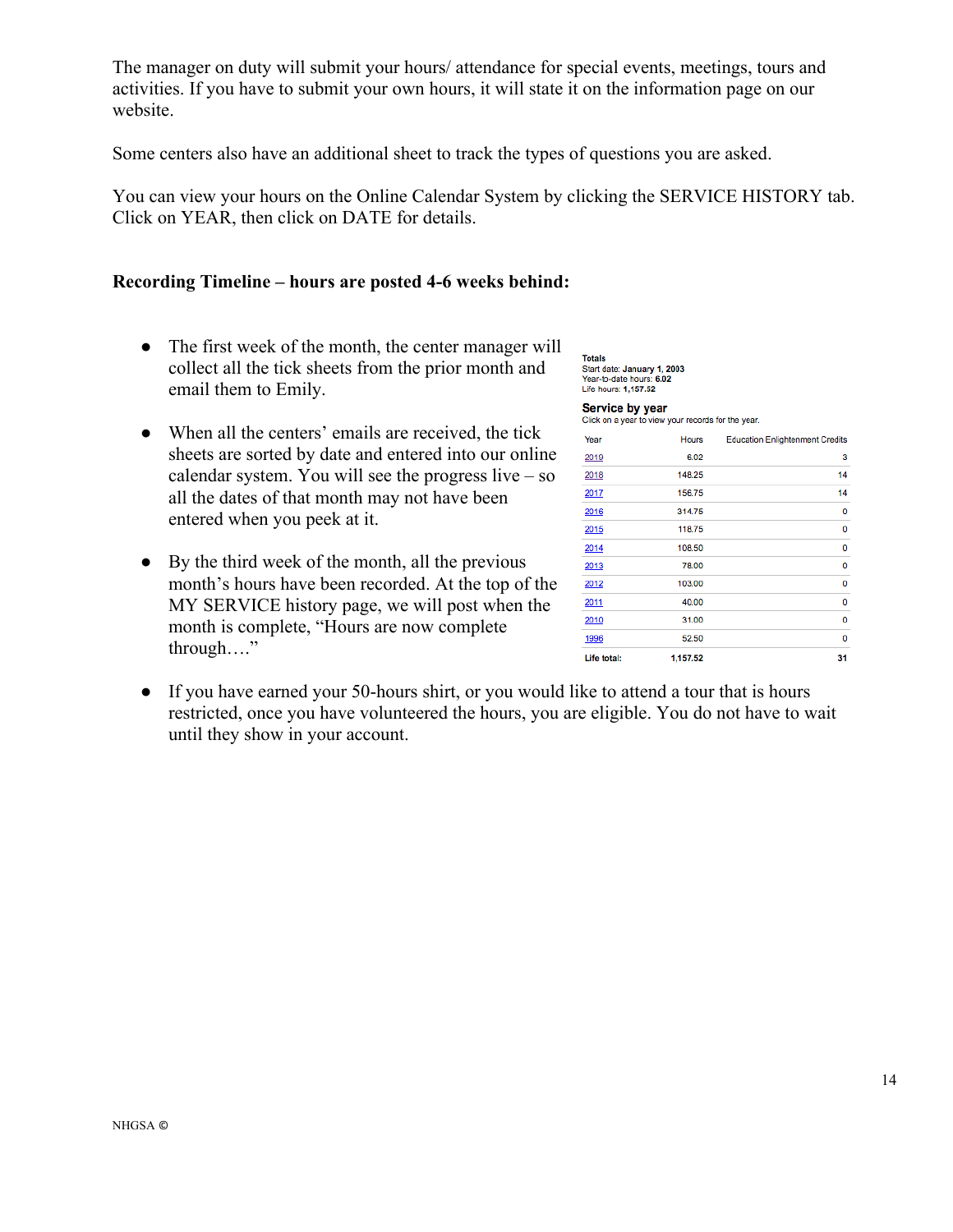The manager on duty will submit your hours/ attendance for special events, meetings, tours and activities. If you have to submit your own hours, it will state it on the information page on our website.

Some centers also have an additional sheet to track the types of questions you are asked.

You can view your hours on the Online Calendar System by clicking the SERVICE HISTORY tab. Click on YEAR, then click on DATE for details.

#### **Recording Timeline – hours are posted 4-6 weeks behind:**

- The first week of the month, the center manager will collect all the tick sheets from the prior month and email them to Emily.
- When all the centers' emails are received, the tick sheets are sorted by date and entered into our online calendar system. You will see the progress live – so all the dates of that month may not have been entered when you peek at it.
- By the third week of the month, all the previous month's hours have been recorded. At the top of the MY SERVICE history page, we will post when the month is complete, "Hours are now complete through…."

| <b>Totals</b>               |
|-----------------------------|
| Start date: January 1, 2003 |
| Year-to-date hours: 6.02    |
| Life hours: 1.157.52        |

Service by year Click on a year to view your records for the year.

| Year               | <b>Hours</b> | <b>Education Enlightenment Credits</b> |
|--------------------|--------------|----------------------------------------|
| 2019               | 6.02         | 3                                      |
| 2018               | 148.25       | 14                                     |
| 2017               | 156.75       | 14                                     |
| 2016               | 314.75       | 0                                      |
| 2015               | 118.75       | 0                                      |
| 2014               | 108.50       | 0                                      |
| 2013               | 78.00        | 0                                      |
| 2012               | 103.00       | 0                                      |
| 2011               | 40.00        | 0                                      |
| 2010               | 31.00        | 0                                      |
| 1996               | 52.50        | 0                                      |
| <b>Life total:</b> | 1,157.52     | 31                                     |

● If you have earned your 50-hours shirt, or you would like to attend a tour that is hours restricted, once you have volunteered the hours, you are eligible. You do not have to wait until they show in your account.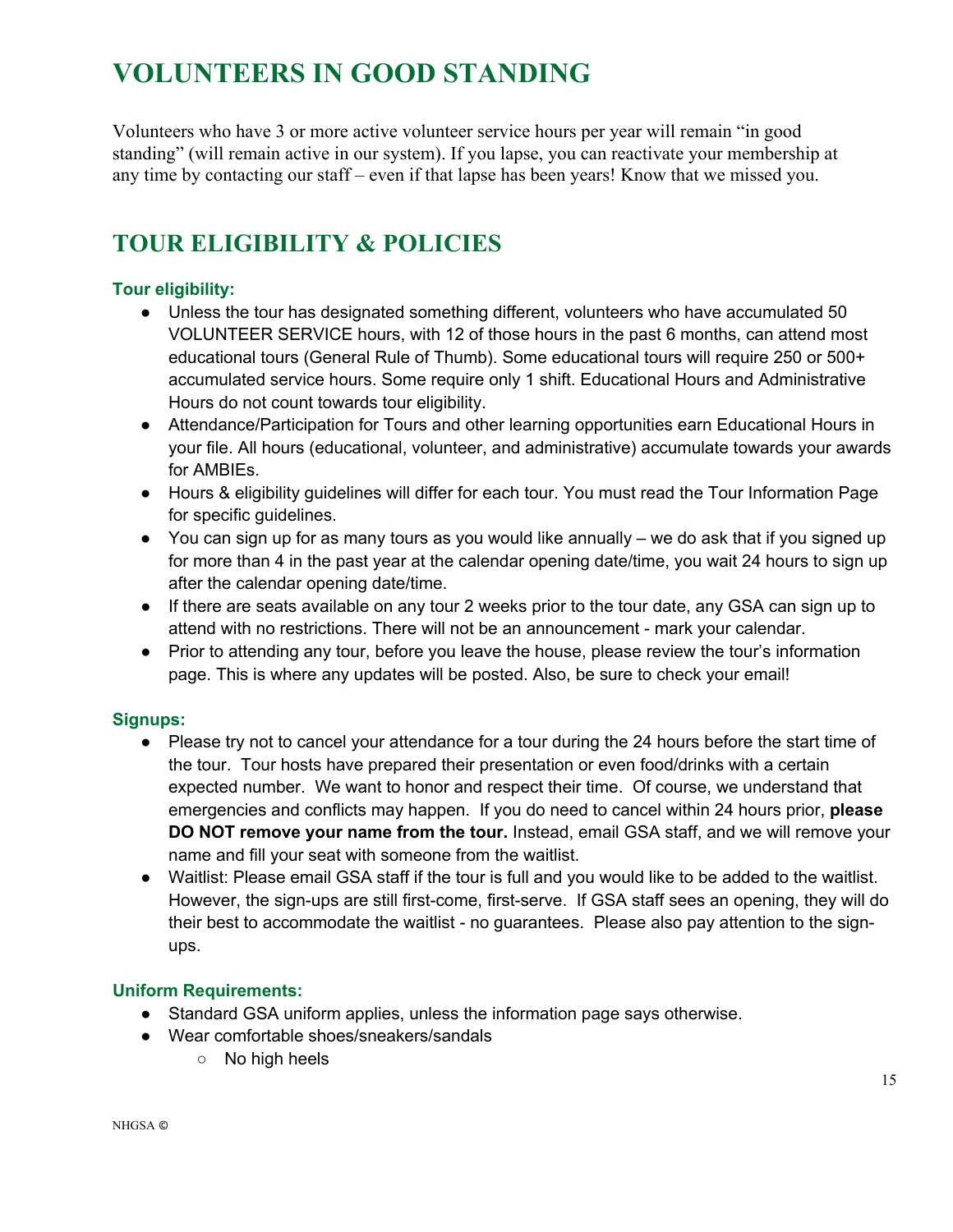### **VOLUNTEERS IN GOOD STANDING**

Volunteers who have 3 or more active volunteer service hours per year will remain "in good standing" (will remain active in our system). If you lapse, you can reactivate your membership at any time by contacting our staff – even if that lapse has been years! Know that we missed you.

### **TOUR ELIGIBILITY & POLICIES**

### **Tour eligibility:**

- Unless the tour has designated something different, volunteers who have accumulated 50 VOLUNTEER SERVICE hours, with 12 of those hours in the past 6 months, can attend most educational tours (General Rule of Thumb). Some educational tours will require 250 or 500+ accumulated service hours. Some require only 1 shift. Educational Hours and Administrative Hours do not count towards tour eligibility.
- Attendance/Participation for Tours and other learning opportunities earn Educational Hours in your file. All hours (educational, volunteer, and administrative) accumulate towards your awards for AMBIEs.
- Hours & eligibility guidelines will differ for each tour. You must read the Tour Information Page for specific guidelines.
- You can sign up for as many tours as you would like annually we do ask that if you signed up for more than 4 in the past year at the calendar opening date/time, you wait 24 hours to sign up after the calendar opening date/time.
- If there are seats available on any tour 2 weeks prior to the tour date, any GSA can sign up to attend with no restrictions. There will not be an announcement - mark your calendar.
- Prior to attending any tour, before you leave the house, please review the tour's information page. This is where any updates will be posted. Also, be sure to check your email!

#### **Signups:**

- Please try not to cancel your attendance for a tour during the 24 hours before the start time of the tour. Tour hosts have prepared their presentation or even food/drinks with a certain expected number. We want to honor and respect their time. Of course, we understand that emergencies and conflicts may happen. If you do need to cancel within 24 hours prior, **please DO NOT remove your name from the tour.** Instead, email GSA staff, and we will remove your name and fill your seat with someone from the waitlist.
- Waitlist: Please email GSA staff if the tour is full and you would like to be added to the waitlist. However, the sign-ups are still first-come, first-serve. If GSA staff sees an opening, they will do their best to accommodate the waitlist - no guarantees. Please also pay attention to the signups.

#### **Uniform Requirements:**

- Standard GSA uniform applies, unless the information page says otherwise.
- Wear comfortable shoes/sneakers/sandals
	- No high heels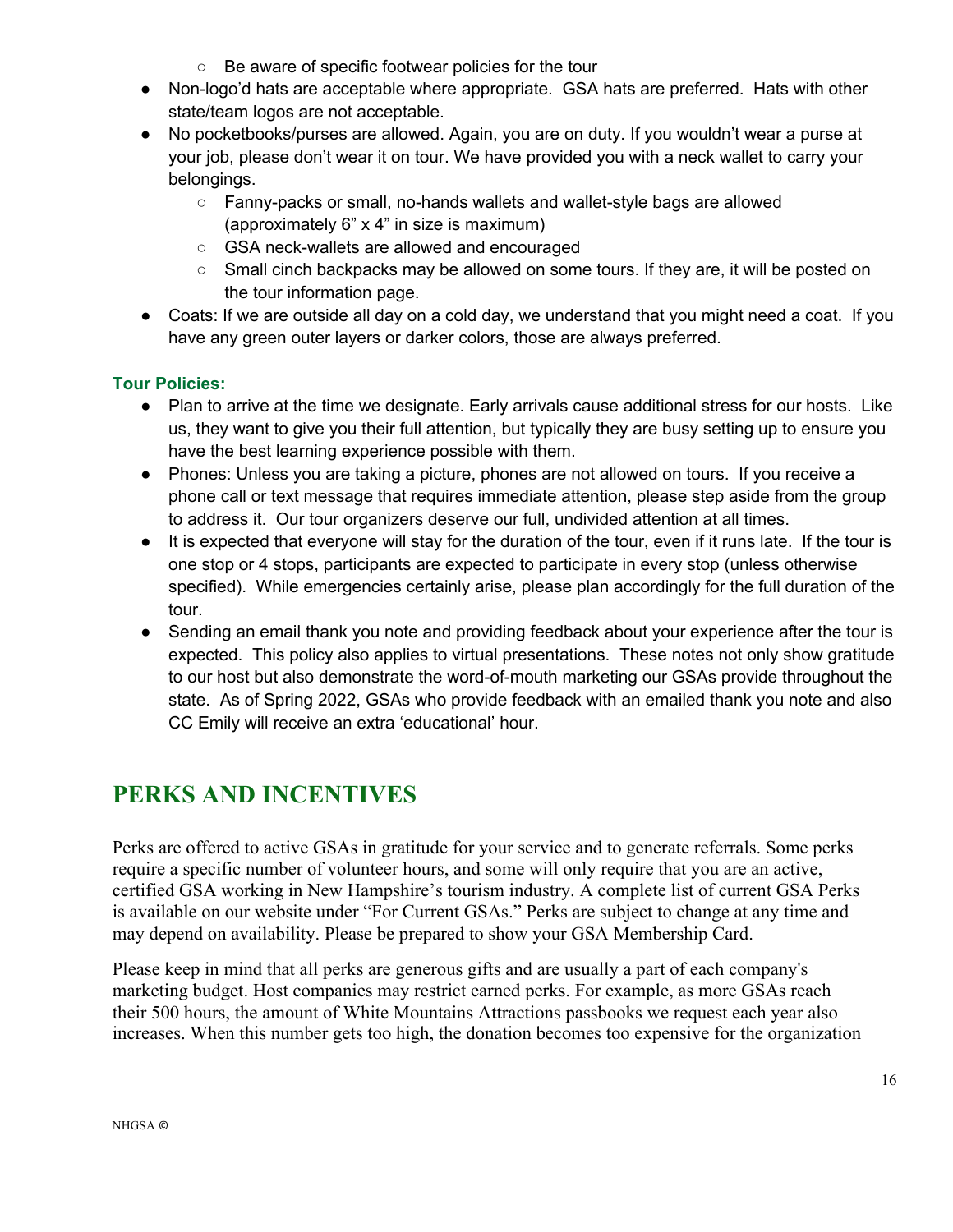- Be aware of specific footwear policies for the tour
- Non-logo'd hats are acceptable where appropriate. GSA hats are preferred. Hats with other state/team logos are not acceptable.
- No pocketbooks/purses are allowed. Again, you are on duty. If you wouldn't wear a purse at your job, please don't wear it on tour. We have provided you with a neck wallet to carry your belongings.
	- Fanny-packs or small, no-hands wallets and wallet-style bags are allowed (approximately 6" x 4" in size is maximum)
	- GSA neck-wallets are allowed and encouraged
	- $\circ$  Small cinch backpacks may be allowed on some tours. If they are, it will be posted on the tour information page.
- Coats: If we are outside all day on a cold day, we understand that you might need a coat. If you have any green outer layers or darker colors, those are always preferred.

### **Tour Policies:**

- Plan to arrive at the time we designate. Early arrivals cause additional stress for our hosts. Like us, they want to give you their full attention, but typically they are busy setting up to ensure you have the best learning experience possible with them.
- Phones: Unless you are taking a picture, phones are not allowed on tours. If you receive a phone call or text message that requires immediate attention, please step aside from the group to address it. Our tour organizers deserve our full, undivided attention at all times.
- It is expected that everyone will stay for the duration of the tour, even if it runs late. If the tour is one stop or 4 stops, participants are expected to participate in every stop (unless otherwise specified). While emergencies certainly arise, please plan accordingly for the full duration of the tour.
- Sending an email thank you note and providing feedback about your experience after the tour is expected. This policy also applies to virtual presentations. These notes not only show gratitude to our host but also demonstrate the word-of-mouth marketing our GSAs provide throughout the state. As of Spring 2022, GSAs who provide feedback with an emailed thank you note and also CC Emily will receive an extra 'educational' hour.

### **PERKS AND INCENTIVES**

Perks are offered to active GSAs in gratitude for your service and to generate referrals. Some perks require a specific number of volunteer hours, and some will only require that you are an active, certified GSA working in New Hampshire's tourism industry. A complete list of current GSA Perks is available on our website under "For Current GSAs." Perks are subject to change at any time and may depend on availability. Please be prepared to show your GSA Membership Card.

Please keep in mind that all perks are generous gifts and are usually a part of each company's marketing budget. Host companies may restrict earned perks. For example, as more GSAs reach their 500 hours, the amount of White Mountains Attractions passbooks we request each year also increases. When this number gets too high, the donation becomes too expensive for the organization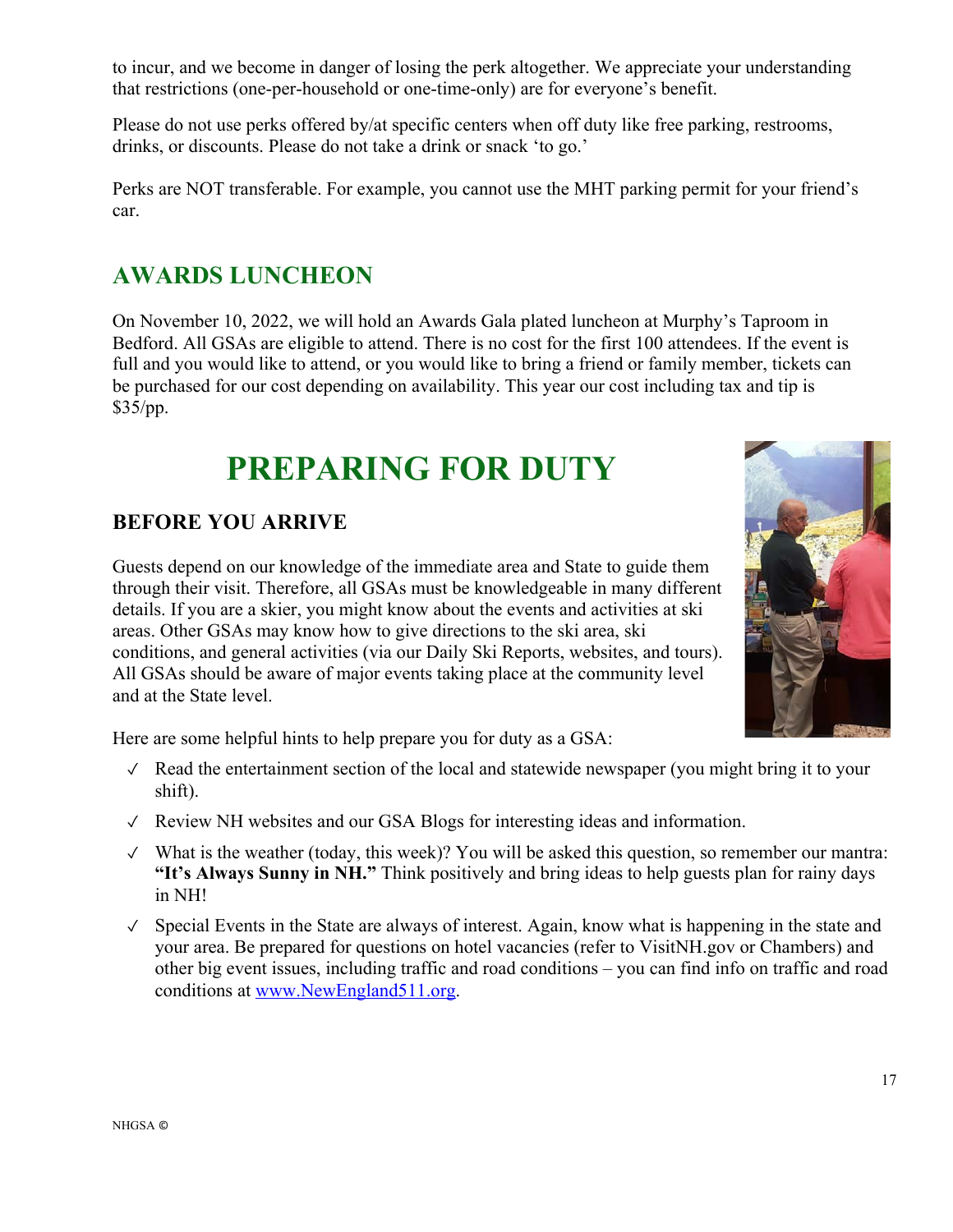to incur, and we become in danger of losing the perk altogether. We appreciate your understanding that restrictions (one-per-household or one-time-only) are for everyone's benefit.

Please do not use perks offered by/at specific centers when off duty like free parking, restrooms, drinks, or discounts. Please do not take a drink or snack 'to go.'

Perks are NOT transferable. For example, you cannot use the MHT parking permit for your friend's car.

### **AWARDS LUNCHEON**

On November 10, 2022, we will hold an Awards Gala plated luncheon at Murphy's Taproom in Bedford. All GSAs are eligible to attend. There is no cost for the first 100 attendees. If the event is full and you would like to attend, or you would like to bring a friend or family member, tickets can be purchased for our cost depending on availability. This year our cost including tax and tip is \$35/pp.

# **PREPARING FOR DUTY**

### **BEFORE YOU ARRIVE**

Guests depend on our knowledge of the immediate area and State to guide them through their visit. Therefore, all GSAs must be knowledgeable in many different details. If you are a skier, you might know about the events and activities at ski areas. Other GSAs may know how to give directions to the ski area, ski conditions, and general activities (via our Daily Ski Reports, websites, and tours). All GSAs should be aware of major events taking place at the community level and at the State level.



Here are some helpful hints to help prepare you for duty as a GSA:

- ✓ Read the entertainment section of the local and statewide newspaper (you might bring it to your shift).
- ✓ Review NH websites and our GSA Blogs for interesting ideas and information.
- ✓ What is the weather (today, this week)? You will be asked this question, so remember our mantra: **"It's Always Sunny in NH."** Think positively and bring ideas to help guests plan for rainy days in NH!
- ✓ Special Events in the State are always of interest. Again, know what is happening in the state and your area. Be prepared for questions on hotel vacancies (refer to VisitNH.gov or Chambers) and other big event issues, including traffic and road conditions – you can find info on traffic and road conditions at www.NewEngland511.org.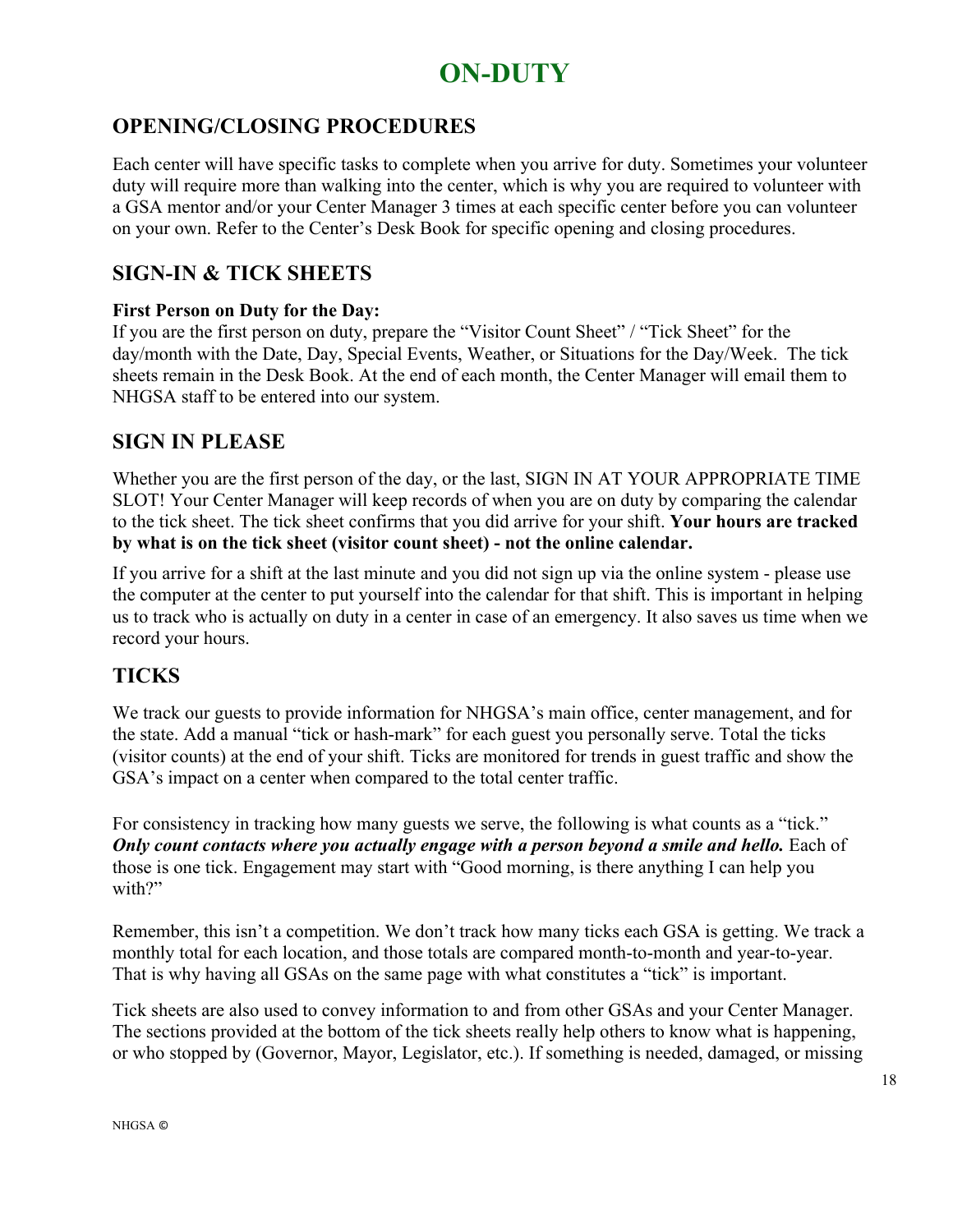### **ON-DUTY**

### **OPENING/CLOSING PROCEDURES**

Each center will have specific tasks to complete when you arrive for duty. Sometimes your volunteer duty will require more than walking into the center, which is why you are required to volunteer with a GSA mentor and/or your Center Manager 3 times at each specific center before you can volunteer on your own. Refer to the Center's Desk Book for specific opening and closing procedures.

### **SIGN-IN & TICK SHEETS**

#### **First Person on Duty for the Day:**

If you are the first person on duty, prepare the "Visitor Count Sheet" / "Tick Sheet" for the day/month with the Date, Day, Special Events, Weather, or Situations for the Day/Week. The tick sheets remain in the Desk Book. At the end of each month, the Center Manager will email them to NHGSA staff to be entered into our system.

### **SIGN IN PLEASE**

Whether you are the first person of the day, or the last, SIGN IN AT YOUR APPROPRIATE TIME SLOT! Your Center Manager will keep records of when you are on duty by comparing the calendar to the tick sheet. The tick sheet confirms that you did arrive for your shift. **Your hours are tracked by what is on the tick sheet (visitor count sheet) - not the online calendar.**

If you arrive for a shift at the last minute and you did not sign up via the online system - please use the computer at the center to put yourself into the calendar for that shift. This is important in helping us to track who is actually on duty in a center in case of an emergency. It also saves us time when we record your hours.

### **TICKS**

We track our guests to provide information for NHGSA's main office, center management, and for the state. Add a manual "tick or hash-mark" for each guest you personally serve. Total the ticks (visitor counts) at the end of your shift. Ticks are monitored for trends in guest traffic and show the GSA's impact on a center when compared to the total center traffic.

For consistency in tracking how many guests we serve, the following is what counts as a "tick." *Only count contacts where you actually engage with a person beyond a smile and hello.* Each of those is one tick. Engagement may start with "Good morning, is there anything I can help you with?"

Remember, this isn't a competition. We don't track how many ticks each GSA is getting. We track a monthly total for each location, and those totals are compared month-to-month and year-to-year. That is why having all GSAs on the same page with what constitutes a "tick" is important.

Tick sheets are also used to convey information to and from other GSAs and your Center Manager. The sections provided at the bottom of the tick sheets really help others to know what is happening, or who stopped by (Governor, Mayor, Legislator, etc.). If something is needed, damaged, or missing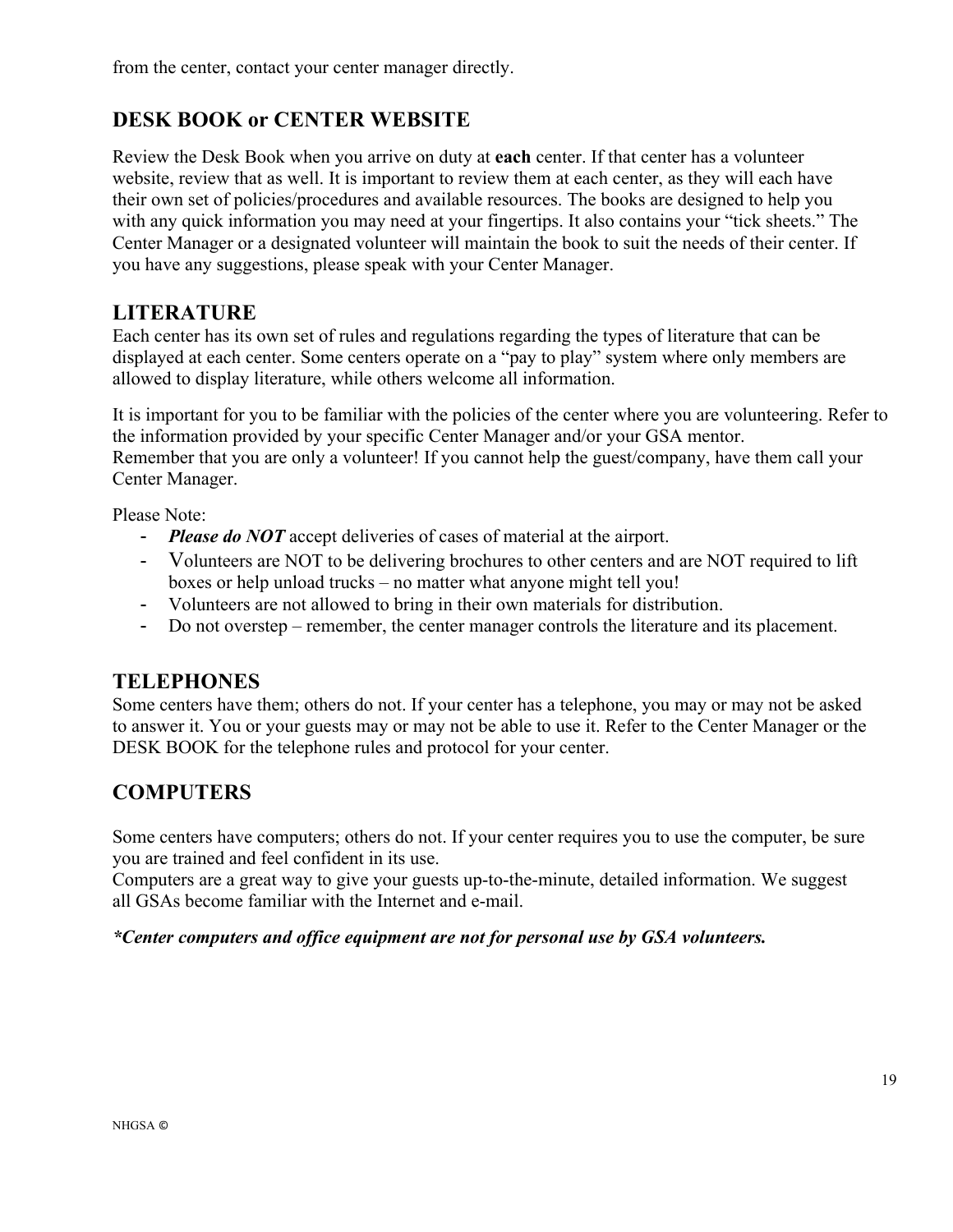from the center, contact your center manager directly.

### **DESK BOOK or CENTER WEBSITE**

Review the Desk Book when you arrive on duty at **each** center. If that center has a volunteer website, review that as well. It is important to review them at each center, as they will each have their own set of policies/procedures and available resources. The books are designed to help you with any quick information you may need at your fingertips. It also contains your "tick sheets." The Center Manager or a designated volunteer will maintain the book to suit the needs of their center. If you have any suggestions, please speak with your Center Manager.

### **LITERATURE**

Each center has its own set of rules and regulations regarding the types of literature that can be displayed at each center. Some centers operate on a "pay to play" system where only members are allowed to display literature, while others welcome all information.

It is important for you to be familiar with the policies of the center where you are volunteering. Refer to the information provided by your specific Center Manager and/or your GSA mentor. Remember that you are only a volunteer! If you cannot help the guest/company, have them call your Center Manager.

Please Note:

- *Please do NOT* accept deliveries of cases of material at the airport.
- Volunteers are NOT to be delivering brochures to other centers and are NOT required to lift boxes or help unload trucks – no matter what anyone might tell you!
- Volunteers are not allowed to bring in their own materials for distribution.
- Do not overstep remember, the center manager controls the literature and its placement.

### **TELEPHONES**

Some centers have them; others do not. If your center has a telephone, you may or may not be asked to answer it. You or your guests may or may not be able to use it. Refer to the Center Manager or the DESK BOOK for the telephone rules and protocol for your center.

### **COMPUTERS**

Some centers have computers; others do not. If your center requires you to use the computer, be sure you are trained and feel confident in its use.

Computers are a great way to give your guests up-to-the-minute, detailed information. We suggest all GSAs become familiar with the Internet and e-mail.

*\*Center computers and office equipment are not for personal use by GSA volunteers.*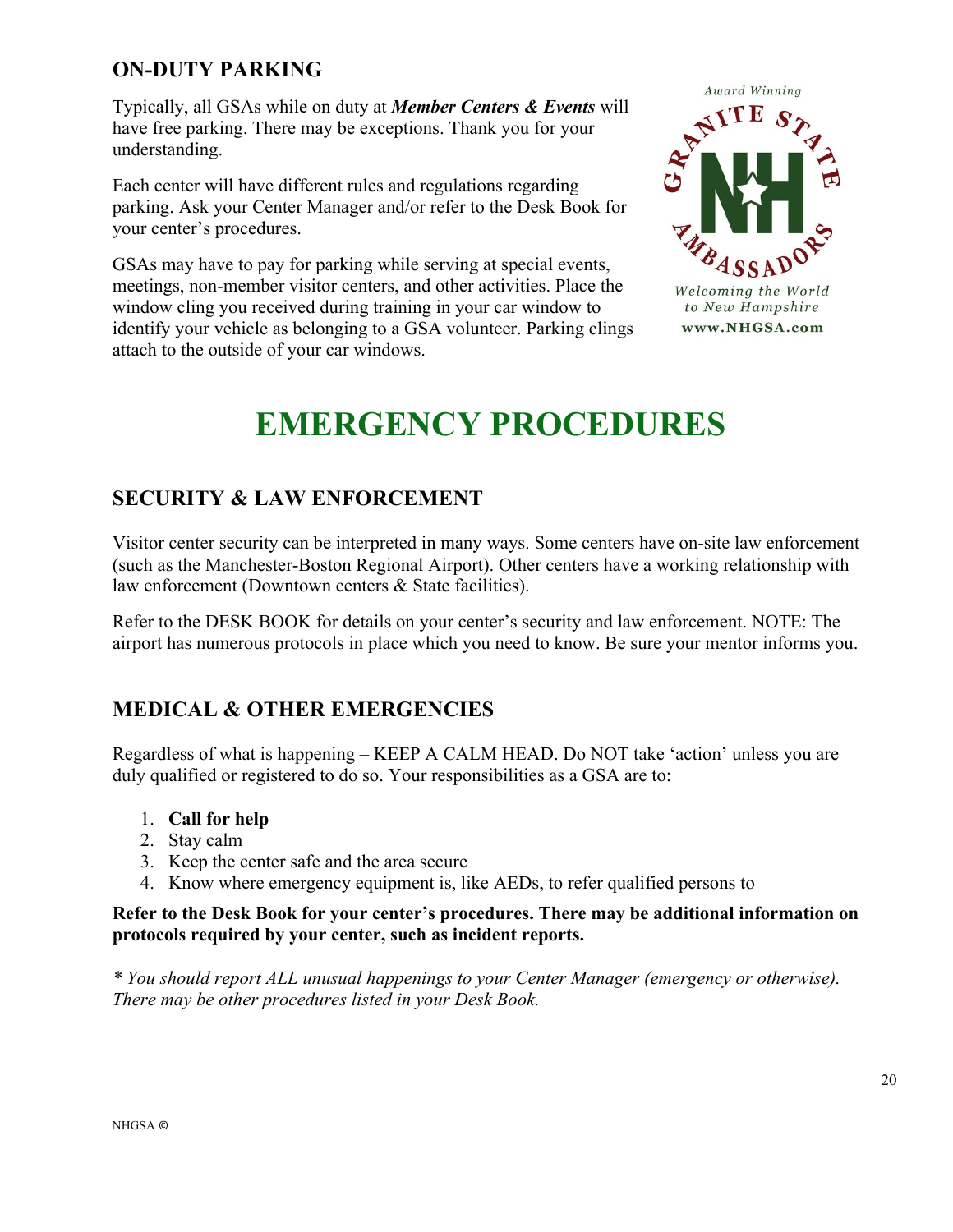### **ON-DUTY PARKING**

Typically, all GSAs while on duty at *Member Centers & Events* will have free parking. There may be exceptions. Thank you for your understanding.

Each center will have different rules and regulations regarding parking. Ask your Center Manager and/or refer to the Desk Book for your center's procedures.

GSAs may have to pay for parking while serving at special events, meetings, non-member visitor centers, and other activities. Place the window cling you received during training in your car window to identify your vehicle as belonging to a GSA volunteer. Parking clings attach to the outside of your car windows.



# **EMERGENCY PROCEDURES**

### **SECURITY & LAW ENFORCEMENT**

Visitor center security can be interpreted in many ways. Some centers have on-site law enforcement (such as the Manchester-Boston Regional Airport). Other centers have a working relationship with law enforcement (Downtown centers & State facilities).

Refer to the DESK BOOK for details on your center's security and law enforcement. NOTE: The airport has numerous protocols in place which you need to know. Be sure your mentor informs you.

### **MEDICAL & OTHER EMERGENCIES**

Regardless of what is happening – KEEP A CALM HEAD. Do NOT take 'action' unless you are duly qualified or registered to do so. Your responsibilities as a GSA are to:

- 1. **Call for help**
- 2. Stay calm
- 3. Keep the center safe and the area secure
- 4. Know where emergency equipment is, like AEDs, to refer qualified persons to

### **Refer to the Desk Book for your center's procedures. There may be additional information on protocols required by your center, such as incident reports.**

*\* You should report ALL unusual happenings to your Center Manager (emergency or otherwise). There may be other procedures listed in your Desk Book.*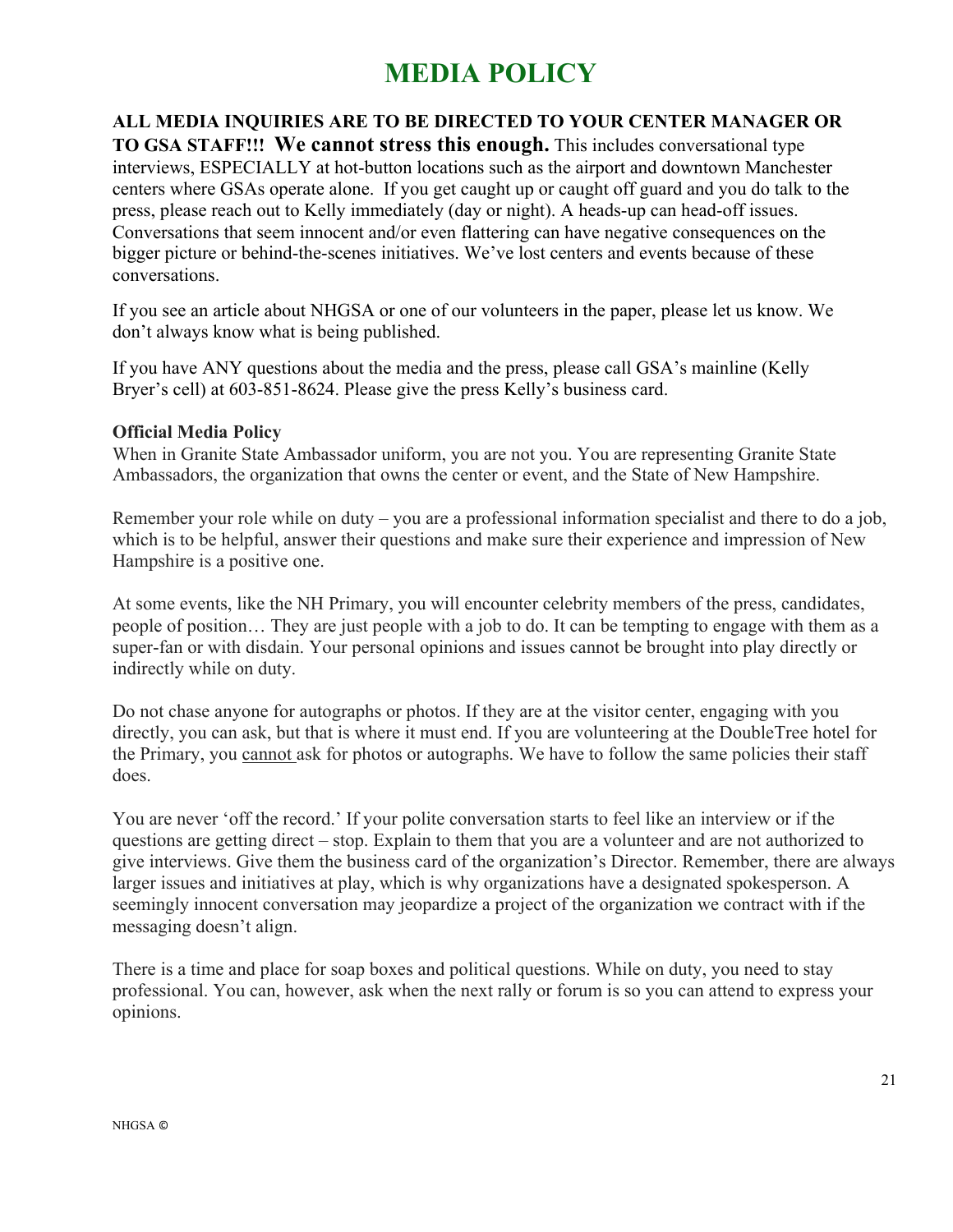### **MEDIA POLICY**

**ALL MEDIA INQUIRIES ARE TO BE DIRECTED TO YOUR CENTER MANAGER OR TO GSA STAFF!!! We cannot stress this enough.** This includes conversational type interviews, ESPECIALLY at hot-button locations such as the airport and downtown Manchester centers where GSAs operate alone. If you get caught up or caught off guard and you do talk to the press, please reach out to Kelly immediately (day or night). A heads-up can head-off issues. Conversations that seem innocent and/or even flattering can have negative consequences on the bigger picture or behind-the-scenes initiatives. We've lost centers and events because of these conversations.

If you see an article about NHGSA or one of our volunteers in the paper, please let us know. We don't always know what is being published.

If you have ANY questions about the media and the press, please call GSA's mainline (Kelly Bryer's cell) at 603-851-8624. Please give the press Kelly's business card.

### **Official Media Policy**

When in Granite State Ambassador uniform, you are not you. You are representing Granite State Ambassadors, the organization that owns the center or event, and the State of New Hampshire.

Remember your role while on duty – you are a professional information specialist and there to do a job, which is to be helpful, answer their questions and make sure their experience and impression of New Hampshire is a positive one.

At some events, like the NH Primary, you will encounter celebrity members of the press, candidates, people of position… They are just people with a job to do. It can be tempting to engage with them as a super-fan or with disdain. Your personal opinions and issues cannot be brought into play directly or indirectly while on duty.

Do not chase anyone for autographs or photos. If they are at the visitor center, engaging with you directly, you can ask, but that is where it must end. If you are volunteering at the DoubleTree hotel for the Primary, you cannot ask for photos or autographs. We have to follow the same policies their staff does.

You are never 'off the record.' If your polite conversation starts to feel like an interview or if the questions are getting direct – stop. Explain to them that you are a volunteer and are not authorized to give interviews. Give them the business card of the organization's Director. Remember, there are always larger issues and initiatives at play, which is why organizations have a designated spokesperson. A seemingly innocent conversation may jeopardize a project of the organization we contract with if the messaging doesn't align.

There is a time and place for soap boxes and political questions. While on duty, you need to stay professional. You can, however, ask when the next rally or forum is so you can attend to express your opinions.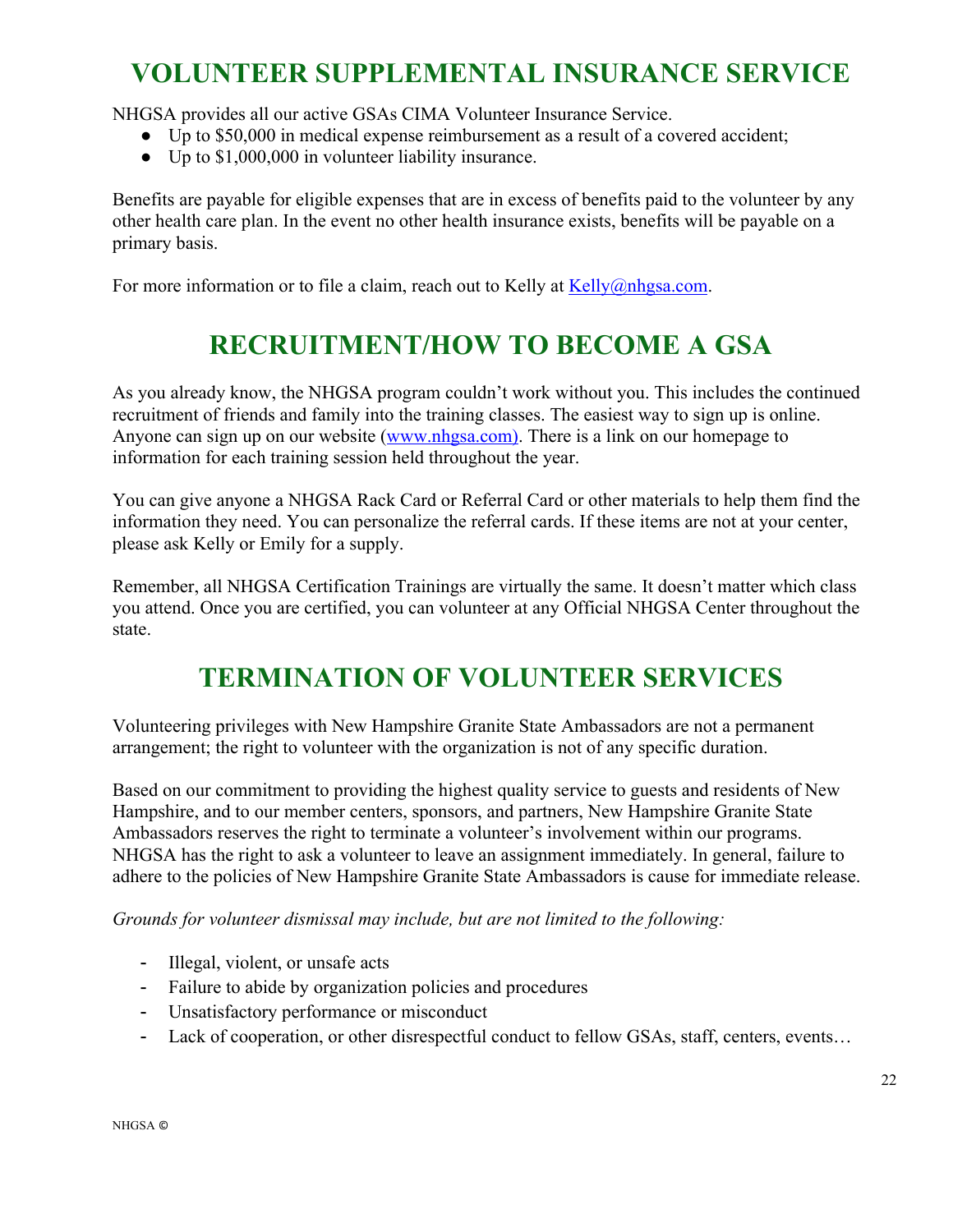### **VOLUNTEER SUPPLEMENTAL INSURANCE SERVICE**

NHGSA provides all our active GSAs CIMA Volunteer Insurance Service.

- Up to \$50,000 in medical expense reimbursement as a result of a covered accident;
- Up to \$1,000,000 in volunteer liability insurance.

Benefits are payable for eligible expenses that are in excess of benefits paid to the volunteer by any other health care plan. In the event no other health insurance exists, benefits will be payable on a primary basis.

For more information or to file a claim, reach out to Kelly at Kelly@nhgsa.com.

### **RECRUITMENT/HOW TO BECOME A GSA**

As you already know, the NHGSA program couldn't work without you. This includes the continued recruitment of friends and family into the training classes. The easiest way to sign up is online. Anyone can sign up on our website (www.nhgsa.com). There is a link on our homepage to information for each training session held throughout the year.

You can give anyone a NHGSA Rack Card or Referral Card or other materials to help them find the information they need. You can personalize the referral cards. If these items are not at your center, please ask Kelly or Emily for a supply.

Remember, all NHGSA Certification Trainings are virtually the same. It doesn't matter which class you attend. Once you are certified, you can volunteer at any Official NHGSA Center throughout the state.

### **TERMINATION OF VOLUNTEER SERVICES**

Volunteering privileges with New Hampshire Granite State Ambassadors are not a permanent arrangement; the right to volunteer with the organization is not of any specific duration.

Based on our commitment to providing the highest quality service to guests and residents of New Hampshire, and to our member centers, sponsors, and partners, New Hampshire Granite State Ambassadors reserves the right to terminate a volunteer's involvement within our programs. NHGSA has the right to ask a volunteer to leave an assignment immediately. In general, failure to adhere to the policies of New Hampshire Granite State Ambassadors is cause for immediate release.

*Grounds for volunteer dismissal may include, but are not limited to the following:*

- Illegal, violent, or unsafe acts
- Failure to abide by organization policies and procedures
- Unsatisfactory performance or misconduct
- Lack of cooperation, or other disrespectful conduct to fellow GSAs, staff, centers, events…